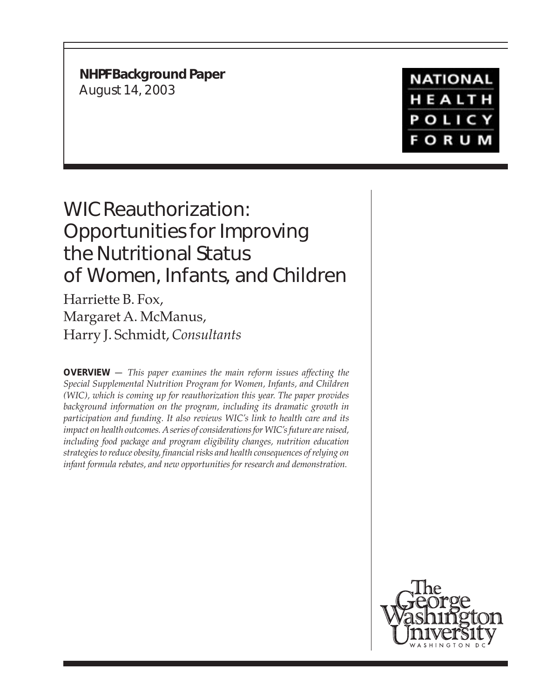**NHPF Background Paper** August 14, 2003

**NATIONAL** HEALTH **POLICY FORUM** 

# WIC Reauthorization: Opportunities for Improving the Nutritional Status of Women, Infants, and Children

Harriette B. Fox, Margaret A. McManus, Harry J. Schmidt, *Consultants*

**OVERVIEW** — *This paper examines the main reform issues affecting the Special Supplemental Nutrition Program for Women, Infants, and Children (WIC), which is coming up for reauthorization this year. The paper provides background information on the program, including its dramatic growth in participation and funding. It also reviews WIC's link to health care and its impact on health outcomes. A series of considerations for WIC's future are raised, including food package and program eligibility changes, nutrition education strategies to reduce obesity, financial risks and health consequences of relying on infant formula rebates, and new opportunities for research and demonstration.*

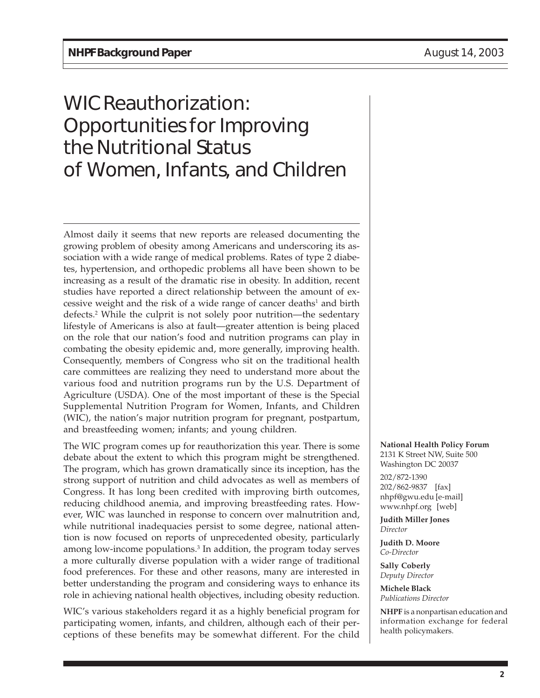# WIC Reauthorization: Opportunities for Improving the Nutritional Status of Women, Infants, and Children

Almost daily it seems that new reports are released documenting the growing problem of obesity among Americans and underscoring its association with a wide range of medical problems. Rates of type 2 diabetes, hypertension, and orthopedic problems all have been shown to be increasing as a result of the dramatic rise in obesity. In addition, recent studies have reported a direct relationship between the amount of excessive weight and the risk of a wide range of cancer deaths<sup>1</sup> and birth defects.2 While the culprit is not solely poor nutrition—the sedentary lifestyle of Americans is also at fault—greater attention is being placed on the role that our nation's food and nutrition programs can play in combating the obesity epidemic and, more generally, improving health. Consequently, members of Congress who sit on the traditional health care committees are realizing they need to understand more about the various food and nutrition programs run by the U.S. Department of Agriculture (USDA). One of the most important of these is the Special Supplemental Nutrition Program for Women, Infants, and Children (WIC), the nation's major nutrition program for pregnant, postpartum, and breastfeeding women; infants; and young children.

The WIC program comes up for reauthorization this year. There is some debate about the extent to which this program might be strengthened. The program, which has grown dramatically since its inception, has the strong support of nutrition and child advocates as well as members of Congress. It has long been credited with improving birth outcomes, reducing childhood anemia, and improving breastfeeding rates. However, WIC was launched in response to concern over malnutrition and, while nutritional inadequacies persist to some degree, national attention is now focused on reports of unprecedented obesity, particularly among low-income populations.3 In addition, the program today serves a more culturally diverse population with a wider range of traditional food preferences. For these and other reasons, many are interested in better understanding the program and considering ways to enhance its role in achieving national health objectives, including obesity reduction.

WIC's various stakeholders regard it as a highly beneficial program for participating women, infants, and children, although each of their perceptions of these benefits may be somewhat different. For the child **National Health Policy Forum**

2131 K Street NW, Suite 500 Washington DC 20037 202/872-1390 202/862-9837 [fax] nhpf@gwu.edu [e-mail] www.nhpf.org [web]

**Judith Miller Jones** *Director*

**Judith D. Moore** *Co-Director*

**Sally Coberly** *Deputy Director*

**Michele Black** *Publications Director*

**NHPF** is a nonpartisan education and information exchange for federal health policymakers.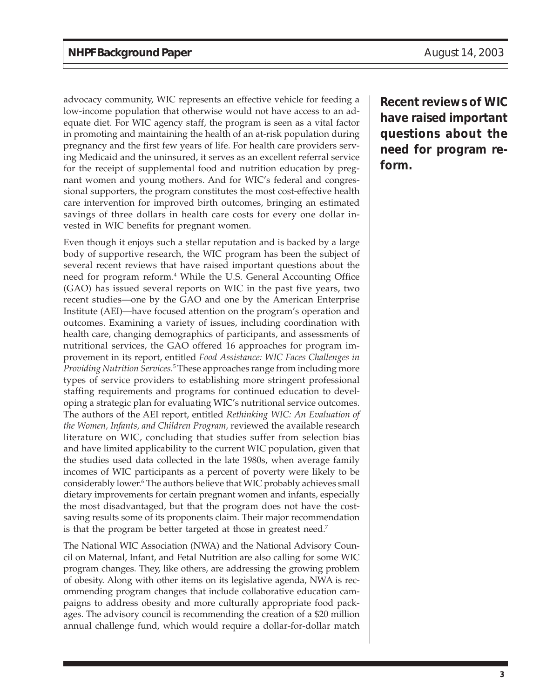advocacy community, WIC represents an effective vehicle for feeding a low-income population that otherwise would not have access to an adequate diet. For WIC agency staff, the program is seen as a vital factor in promoting and maintaining the health of an at-risk population during pregnancy and the first few years of life. For health care providers serving Medicaid and the uninsured, it serves as an excellent referral service for the receipt of supplemental food and nutrition education by pregnant women and young mothers. And for WIC's federal and congressional supporters, the program constitutes the most cost-effective health care intervention for improved birth outcomes, bringing an estimated savings of three dollars in health care costs for every one dollar invested in WIC benefits for pregnant women.

Even though it enjoys such a stellar reputation and is backed by a large body of supportive research, the WIC program has been the subject of several recent reviews that have raised important questions about the need for program reform.4 While the U.S. General Accounting Office (GAO) has issued several reports on WIC in the past five years, two recent studies—one by the GAO and one by the American Enterprise Institute (AEI)—have focused attention on the program's operation and outcomes. Examining a variety of issues, including coordination with health care, changing demographics of participants, and assessments of nutritional services, the GAO offered 16 approaches for program improvement in its report, entitled *Food Assistance: WIC Faces Challenges in Providing Nutrition Services.*<sup>5</sup> These approaches range from including more types of service providers to establishing more stringent professional staffing requirements and programs for continued education to developing a strategic plan for evaluating WIC's nutritional service outcomes. The authors of the AEI report, entitled *Rethinking WIC: An Evaluation of the Women, Infants, and Children Program,* reviewed the available research literature on WIC, concluding that studies suffer from selection bias and have limited applicability to the current WIC population, given that the studies used data collected in the late 1980s, when average family incomes of WIC participants as a percent of poverty were likely to be considerably lower.6 The authors believe that WIC probably achieves small dietary improvements for certain pregnant women and infants, especially the most disadvantaged, but that the program does not have the costsaving results some of its proponents claim. Their major recommendation is that the program be better targeted at those in greatest need.7

The National WIC Association (NWA) and the National Advisory Council on Maternal, Infant, and Fetal Nutrition are also calling for some WIC program changes. They, like others, are addressing the growing problem of obesity. Along with other items on its legislative agenda, NWA is recommending program changes that include collaborative education campaigns to address obesity and more culturally appropriate food packages. The advisory council is recommending the creation of a \$20 million annual challenge fund, which would require a dollar-for-dollar match

**Recent reviews of WIC have raised important questions about the need for program reform.**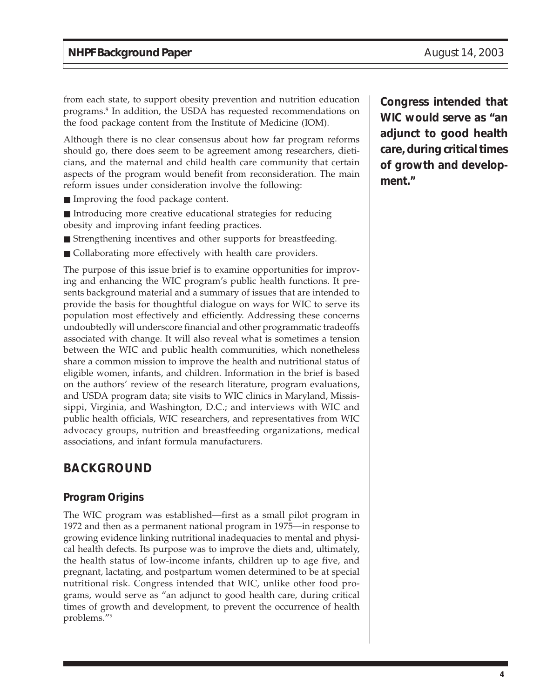from each state, to support obesity prevention and nutrition education programs.8 In addition, the USDA has requested recommendations on the food package content from the Institute of Medicine (IOM).

Although there is no clear consensus about how far program reforms should go, there does seem to be agreement among researchers, dieticians, and the maternal and child health care community that certain aspects of the program would benefit from reconsideration. The main reform issues under consideration involve the following:

- Improving the food package content.
- Introducing more creative educational strategies for reducing obesity and improving infant feeding practices.
- Strengthening incentives and other supports for breastfeeding.
- Collaborating more effectively with health care providers.

The purpose of this issue brief is to examine opportunities for improving and enhancing the WIC program's public health functions. It presents background material and a summary of issues that are intended to provide the basis for thoughtful dialogue on ways for WIC to serve its population most effectively and efficiently. Addressing these concerns undoubtedly will underscore financial and other programmatic tradeoffs associated with change. It will also reveal what is sometimes a tension between the WIC and public health communities, which nonetheless share a common mission to improve the health and nutritional status of eligible women, infants, and children. Information in the brief is based on the authors' review of the research literature, program evaluations, and USDA program data; site visits to WIC clinics in Maryland, Mississippi, Virginia, and Washington, D.C.; and interviews with WIC and public health officials, WIC researchers, and representatives from WIC advocacy groups, nutrition and breastfeeding organizations, medical associations, and infant formula manufacturers.

## **BACKGROUND**

#### **Program Origins**

The WIC program was established—first as a small pilot program in 1972 and then as a permanent national program in 1975—in response to growing evidence linking nutritional inadequacies to mental and physical health defects. Its purpose was to improve the diets and, ultimately, the health status of low-income infants, children up to age five, and pregnant, lactating, and postpartum women determined to be at special nutritional risk. Congress intended that WIC, unlike other food programs, would serve as "an adjunct to good health care, during critical times of growth and development, to prevent the occurrence of health problems."9

**Congress intended that WIC would serve as "an adjunct to good health care, during critical times of growth and development."**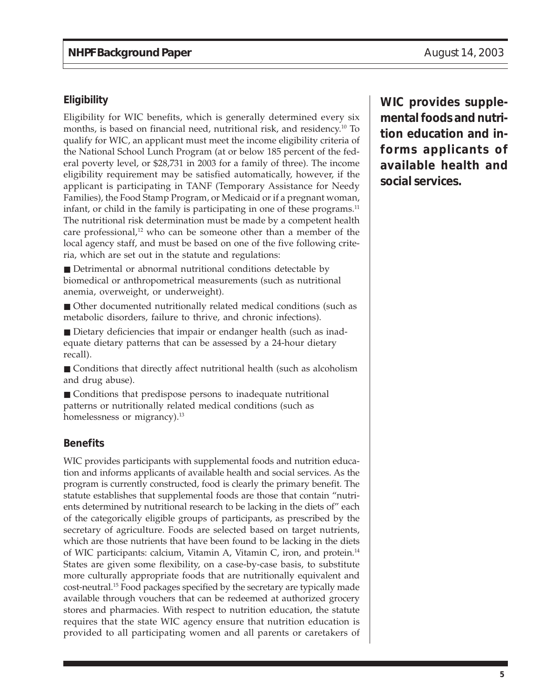#### **Eligibility**

Eligibility for WIC benefits, which is generally determined every six months, is based on financial need, nutritional risk, and residency.10 To qualify for WIC, an applicant must meet the income eligibility criteria of the National School Lunch Program (at or below 185 percent of the federal poverty level, or \$28,731 in 2003 for a family of three). The income eligibility requirement may be satisfied automatically, however, if the applicant is participating in TANF (Temporary Assistance for Needy Families), the Food Stamp Program, or Medicaid or if a pregnant woman, infant, or child in the family is participating in one of these programs. $11$ The nutritional risk determination must be made by a competent health care professional,<sup>12</sup> who can be someone other than a member of the local agency staff, and must be based on one of the five following criteria, which are set out in the statute and regulations:

■ Detrimental or abnormal nutritional conditions detectable by biomedical or anthropometrical measurements (such as nutritional anemia, overweight, or underweight).

■ Other documented nutritionally related medical conditions (such as metabolic disorders, failure to thrive, and chronic infections).

■ Dietary deficiencies that impair or endanger health (such as inadequate dietary patterns that can be assessed by a 24-hour dietary recall).

■ Conditions that directly affect nutritional health (such as alcoholism and drug abuse).

■ Conditions that predispose persons to inadequate nutritional patterns or nutritionally related medical conditions (such as homelessness or migrancy).<sup>13</sup>

#### **Benefits**

WIC provides participants with supplemental foods and nutrition education and informs applicants of available health and social services. As the program is currently constructed, food is clearly the primary benefit. The statute establishes that supplemental foods are those that contain "nutrients determined by nutritional research to be lacking in the diets of" each of the categorically eligible groups of participants, as prescribed by the secretary of agriculture. Foods are selected based on target nutrients, which are those nutrients that have been found to be lacking in the diets of WIC participants: calcium, Vitamin A, Vitamin C, iron, and protein.14 States are given some flexibility, on a case-by-case basis, to substitute more culturally appropriate foods that are nutritionally equivalent and cost-neutral.15 Food packages specified by the secretary are typically made available through vouchers that can be redeemed at authorized grocery stores and pharmacies. With respect to nutrition education, the statute requires that the state WIC agency ensure that nutrition education is provided to all participating women and all parents or caretakers of **WIC provides supplemental foods and nutrition education and informs applicants of available health and social services.**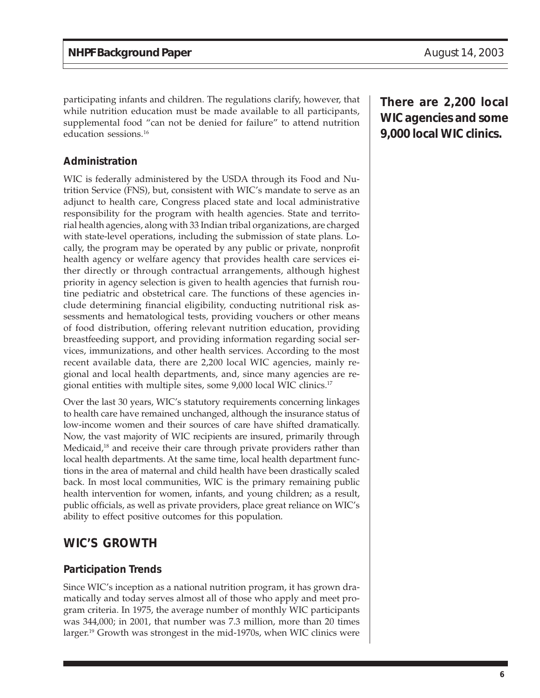participating infants and children. The regulations clarify, however, that while nutrition education must be made available to all participants, supplemental food "can not be denied for failure" to attend nutrition education sessions.16

#### **Administration**

WIC is federally administered by the USDA through its Food and Nutrition Service (FNS), but, consistent with WIC's mandate to serve as an adjunct to health care, Congress placed state and local administrative responsibility for the program with health agencies. State and territorial health agencies, along with 33 Indian tribal organizations, are charged with state-level operations, including the submission of state plans. Locally, the program may be operated by any public or private, nonprofit health agency or welfare agency that provides health care services either directly or through contractual arrangements, although highest priority in agency selection is given to health agencies that furnish routine pediatric and obstetrical care. The functions of these agencies include determining financial eligibility, conducting nutritional risk assessments and hematological tests, providing vouchers or other means of food distribution, offering relevant nutrition education, providing breastfeeding support, and providing information regarding social services, immunizations, and other health services. According to the most recent available data, there are 2,200 local WIC agencies, mainly regional and local health departments, and, since many agencies are regional entities with multiple sites, some 9,000 local WIC clinics.17

Over the last 30 years, WIC's statutory requirements concerning linkages to health care have remained unchanged, although the insurance status of low-income women and their sources of care have shifted dramatically. Now, the vast majority of WIC recipients are insured, primarily through Medicaid,<sup>18</sup> and receive their care through private providers rather than local health departments. At the same time, local health department functions in the area of maternal and child health have been drastically scaled back. In most local communities, WIC is the primary remaining public health intervention for women, infants, and young children; as a result, public officials, as well as private providers, place great reliance on WIC's ability to effect positive outcomes for this population.

## **WIC'S GROWTH**

#### **Participation Trends**

Since WIC's inception as a national nutrition program, it has grown dramatically and today serves almost all of those who apply and meet program criteria. In 1975, the average number of monthly WIC participants was 344,000; in 2001, that number was 7.3 million, more than 20 times larger.19 Growth was strongest in the mid-1970s, when WIC clinics were **There are 2,200 local WIC agencies and some 9,000 local WIC clinics.**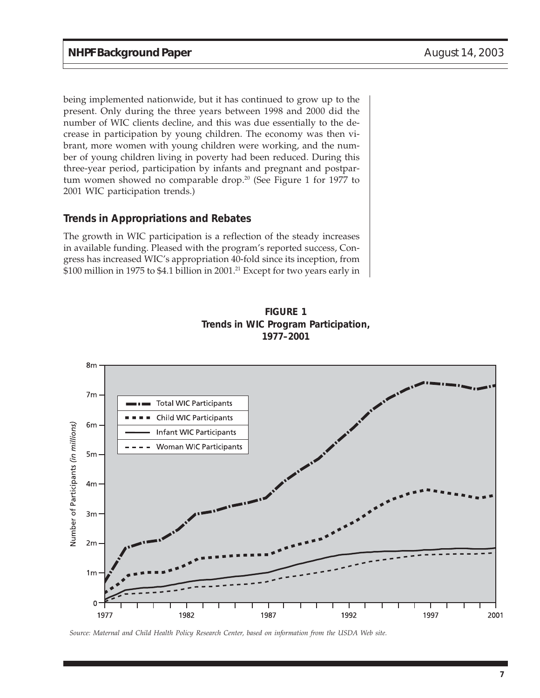being implemented nationwide, but it has continued to grow up to the present. Only during the three years between 1998 and 2000 did the number of WIC clients decline, and this was due essentially to the decrease in participation by young children. The economy was then vibrant, more women with young children were working, and the number of young children living in poverty had been reduced. During this three-year period, participation by infants and pregnant and postpartum women showed no comparable drop.<sup>20</sup> (See Figure 1 for 1977 to 2001 WIC participation trends.)

#### **Trends in Appropriations and Rebates**

The growth in WIC participation is a reflection of the steady increases in available funding. Pleased with the program's reported success, Congress has increased WIC's appropriation 40-fold since its inception, from \$100 million in 1975 to \$4.1 billion in 2001.<sup>21</sup> Except for two years early in



**FIGURE 1 Trends in WIC Program Participation, 1977–2001**

*Source: Maternal and Child Health Policy Research Center, based on information from the USDA Web site.*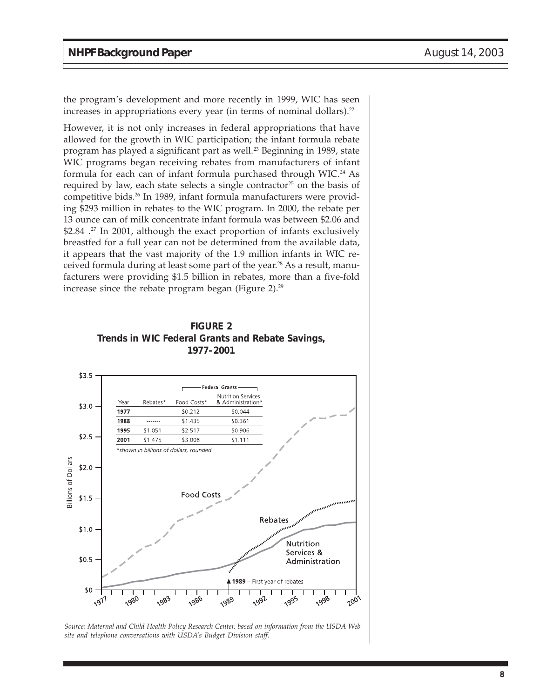the program's development and more recently in 1999, WIC has seen increases in appropriations every year (in terms of nominal dollars). $22$ 

However, it is not only increases in federal appropriations that have allowed for the growth in WIC participation; the infant formula rebate program has played a significant part as well.23 Beginning in 1989, state WIC programs began receiving rebates from manufacturers of infant formula for each can of infant formula purchased through WIC.<sup>24</sup> As required by law, each state selects a single contractor<sup>25</sup> on the basis of competitive bids.26 In 1989, infant formula manufacturers were providing \$293 million in rebates to the WIC program. In 2000, the rebate per 13 ounce can of milk concentrate infant formula was between \$2.06 and \$2.84 .<sup>27</sup> In 2001, although the exact proportion of infants exclusively breastfed for a full year can not be determined from the available data, it appears that the vast majority of the 1.9 million infants in WIC received formula during at least some part of the year.<sup>28</sup> As a result, manufacturers were providing \$1.5 billion in rebates, more than a five-fold increase since the rebate program began (Figure 2). $^{29}$ 





*Source: Maternal and Child Health Policy Research Center, based on information from the USDA Web site and telephone conversations with USDA's Budget Division staff.*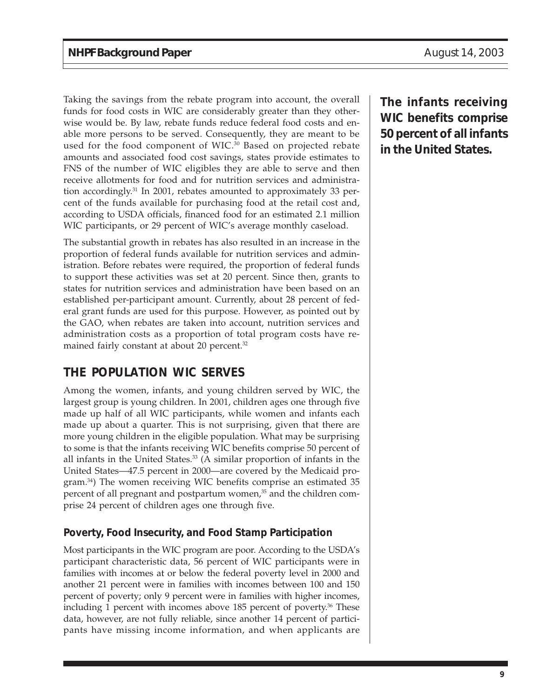Taking the savings from the rebate program into account, the overall funds for food costs in WIC are considerably greater than they otherwise would be. By law, rebate funds reduce federal food costs and enable more persons to be served. Consequently, they are meant to be used for the food component of WIC.<sup>30</sup> Based on projected rebate amounts and associated food cost savings, states provide estimates to FNS of the number of WIC eligibles they are able to serve and then receive allotments for food and for nutrition services and administration accordingly.31 In 2001, rebates amounted to approximately 33 percent of the funds available for purchasing food at the retail cost and, according to USDA officials, financed food for an estimated 2.1 million WIC participants, or 29 percent of WIC's average monthly caseload.

The substantial growth in rebates has also resulted in an increase in the proportion of federal funds available for nutrition services and administration. Before rebates were required, the proportion of federal funds to support these activities was set at 20 percent. Since then, grants to states for nutrition services and administration have been based on an established per-participant amount. Currently, about 28 percent of federal grant funds are used for this purpose. However, as pointed out by the GAO, when rebates are taken into account, nutrition services and administration costs as a proportion of total program costs have remained fairly constant at about 20 percent.<sup>32</sup>

# **THE POPULATION WIC SERVES**

Among the women, infants, and young children served by WIC, the largest group is young children. In 2001, children ages one through five made up half of all WIC participants, while women and infants each made up about a quarter. This is not surprising, given that there are more young children in the eligible population. What may be surprising to some is that the infants receiving WIC benefits comprise 50 percent of all infants in the United States.<sup>33</sup> (A similar proportion of infants in the United States—47.5 percent in 2000—are covered by the Medicaid program.34) The women receiving WIC benefits comprise an estimated 35 percent of all pregnant and postpartum women,<sup>35</sup> and the children comprise 24 percent of children ages one through five.

## **Poverty, Food Insecurity, and Food Stamp Participation**

Most participants in the WIC program are poor. According to the USDA's participant characteristic data, 56 percent of WIC participants were in families with incomes at or below the federal poverty level in 2000 and another 21 percent were in families with incomes between 100 and 150 percent of poverty; only 9 percent were in families with higher incomes, including 1 percent with incomes above  $185$  percent of poverty.<sup>36</sup> These data, however, are not fully reliable, since another 14 percent of participants have missing income information, and when applicants are

**The infants receiving WIC benefits comprise 50 percent of all infants in the United States.**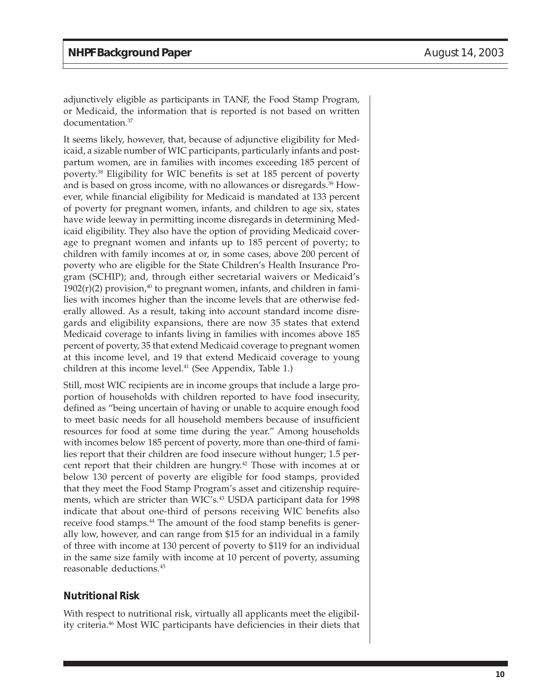adjunctively eligible as participants in TANF, the Food Stamp Program, or Medicaid, the information that is reported is not based on written documentation.37

It seems likely, however, that, because of adjunctive eligibility for Medicaid, a sizable number of WIC participants, particularly infants and postpartum women, are in families with incomes exceeding 185 percent of poverty.38 Eligibility for WIC benefits is set at 185 percent of poverty and is based on gross income, with no allowances or disregards.39 However, while financial eligibility for Medicaid is mandated at 133 percent of poverty for pregnant women, infants, and children to age six, states have wide leeway in permitting income disregards in determining Medicaid eligibility. They also have the option of providing Medicaid coverage to pregnant women and infants up to 185 percent of poverty; to children with family incomes at or, in some cases, above 200 percent of poverty who are eligible for the State Children's Health Insurance Program (SCHIP); and, through either secretarial waivers or Medicaid's  $1902(r)(2)$  provision,<sup>40</sup> to pregnant women, infants, and children in families with incomes higher than the income levels that are otherwise federally allowed. As a result, taking into account standard income disregards and eligibility expansions, there are now 35 states that extend Medicaid coverage to infants living in families with incomes above 185 percent of poverty, 35 that extend Medicaid coverage to pregnant women at this income level, and 19 that extend Medicaid coverage to young children at this income level.<sup>41</sup> (See Appendix, Table 1.)

Still, most WIC recipients are in income groups that include a large proportion of households with children reported to have food insecurity, defined as "being uncertain of having or unable to acquire enough food to meet basic needs for all household members because of insufficient resources for food at some time during the year." Among households with incomes below 185 percent of poverty, more than one-third of families report that their children are food insecure without hunger; 1.5 percent report that their children are hungry.<sup>42</sup> Those with incomes at or below 130 percent of poverty are eligible for food stamps, provided that they meet the Food Stamp Program's asset and citizenship requirements, which are stricter than WIC's.<sup>43</sup> USDA participant data for 1998 indicate that about one-third of persons receiving WIC benefits also receive food stamps.<sup>44</sup> The amount of the food stamp benefits is generally low, however, and can range from \$15 for an individual in a family of three with income at 130 percent of poverty to \$119 for an individual in the same size family with income at 10 percent of poverty, assuming reasonable deductions.45

#### **Nutritional Risk**

With respect to nutritional risk, virtually all applicants meet the eligibility criteria.46 Most WIC participants have deficiencies in their diets that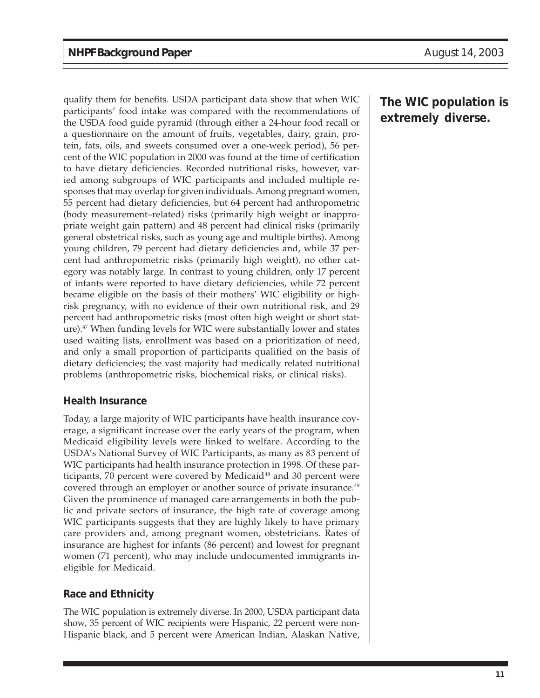qualify them for benefits. USDA participant data show that when WIC participants' food intake was compared with the recommendations of the USDA food guide pyramid (through either a 24-hour food recall or a questionnaire on the amount of fruits, vegetables, dairy, grain, protein, fats, oils, and sweets consumed over a one-week period), 56 percent of the WIC population in 2000 was found at the time of certification to have dietary deficiencies. Recorded nutritional risks, however, varied among subgroups of WIC participants and included multiple responses that may overlap for given individuals. Among pregnant women, 55 percent had dietary deficiencies, but 64 percent had anthropometric (body measurement–related) risks (primarily high weight or inappropriate weight gain pattern) and 48 percent had clinical risks (primarily general obstetrical risks, such as young age and multiple births). Among young children, 79 percent had dietary deficiencies and, while 37 percent had anthropometric risks (primarily high weight), no other category was notably large. In contrast to young children, only 17 percent of infants were reported to have dietary deficiencies, while 72 percent became eligible on the basis of their mothers' WIC eligibility or highrisk pregnancy, with no evidence of their own nutritional risk, and 29 percent had anthropometric risks (most often high weight or short stature).<sup>47</sup> When funding levels for WIC were substantially lower and states used waiting lists, enrollment was based on a prioritization of need, and only a small proportion of participants qualified on the basis of dietary deficiencies; the vast majority had medically related nutritional problems (anthropometric risks, biochemical risks, or clinical risks).

#### **Health Insurance**

Today, a large majority of WIC participants have health insurance coverage, a significant increase over the early years of the program, when Medicaid eligibility levels were linked to welfare. According to the USDA's National Survey of WIC Participants, as many as 83 percent of WIC participants had health insurance protection in 1998. Of these participants, 70 percent were covered by Medicaid<sup>48</sup> and 30 percent were covered through an employer or another source of private insurance.<sup>49</sup> Given the prominence of managed care arrangements in both the public and private sectors of insurance, the high rate of coverage among WIC participants suggests that they are highly likely to have primary care providers and, among pregnant women, obstetricians. Rates of insurance are highest for infants (86 percent) and lowest for pregnant women (71 percent), who may include undocumented immigrants ineligible for Medicaid.

#### **Race and Ethnicity**

The WIC population is extremely diverse. In 2000, USDA participant data show, 35 percent of WIC recipients were Hispanic, 22 percent were non-Hispanic black, and 5 percent were American Indian, Alaskan Native,

**The WIC population is extremely diverse.**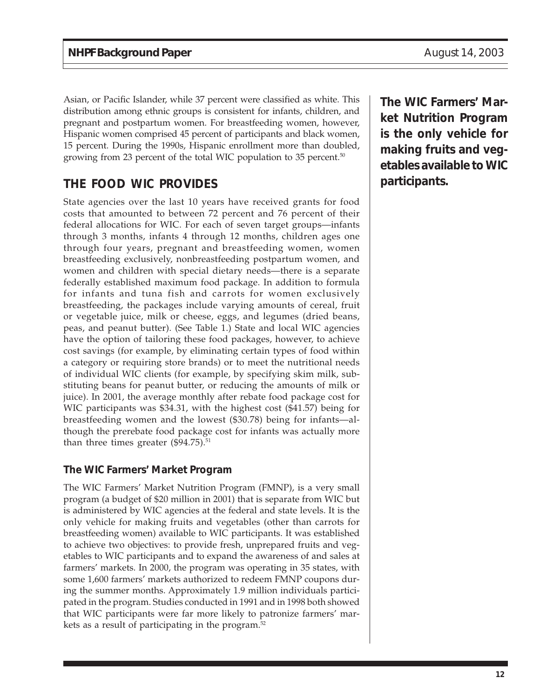Asian, or Pacific Islander, while 37 percent were classified as white. This distribution among ethnic groups is consistent for infants, children, and pregnant and postpartum women. For breastfeeding women, however, Hispanic women comprised 45 percent of participants and black women, 15 percent. During the 1990s, Hispanic enrollment more than doubled, growing from 23 percent of the total WIC population to 35 percent.<sup>50</sup>

# **THE FOOD WIC PROVIDES**

State agencies over the last 10 years have received grants for food costs that amounted to between 72 percent and 76 percent of their federal allocations for WIC. For each of seven target groups—infants through 3 months, infants 4 through 12 months, children ages one through four years, pregnant and breastfeeding women, women breastfeeding exclusively, nonbreastfeeding postpartum women, and women and children with special dietary needs—there is a separate federally established maximum food package. In addition to formula for infants and tuna fish and carrots for women exclusively breastfeeding, the packages include varying amounts of cereal, fruit or vegetable juice, milk or cheese, eggs, and legumes (dried beans, peas, and peanut butter). (See Table 1.) State and local WIC agencies have the option of tailoring these food packages, however, to achieve cost savings (for example, by eliminating certain types of food within a category or requiring store brands) or to meet the nutritional needs of individual WIC clients (for example, by specifying skim milk, substituting beans for peanut butter, or reducing the amounts of milk or juice). In 2001, the average monthly after rebate food package cost for WIC participants was \$34.31, with the highest cost (\$41.57) being for breastfeeding women and the lowest (\$30.78) being for infants—although the prerebate food package cost for infants was actually more than three times greater  $(\$94.75).^{51}$ 

#### **The WIC Farmers' Market Program**

The WIC Farmers' Market Nutrition Program (FMNP), is a very small program (a budget of \$20 million in 2001) that is separate from WIC but is administered by WIC agencies at the federal and state levels. It is the only vehicle for making fruits and vegetables (other than carrots for breastfeeding women) available to WIC participants. It was established to achieve two objectives: to provide fresh, unprepared fruits and vegetables to WIC participants and to expand the awareness of and sales at farmers' markets. In 2000, the program was operating in 35 states, with some 1,600 farmers' markets authorized to redeem FMNP coupons during the summer months. Approximately 1.9 million individuals participated in the program. Studies conducted in 1991 and in 1998 both showed that WIC participants were far more likely to patronize farmers' markets as a result of participating in the program.52

**The WIC Farmers' Market Nutrition Program is the only vehicle for making fruits and vegetables available to WIC participants.**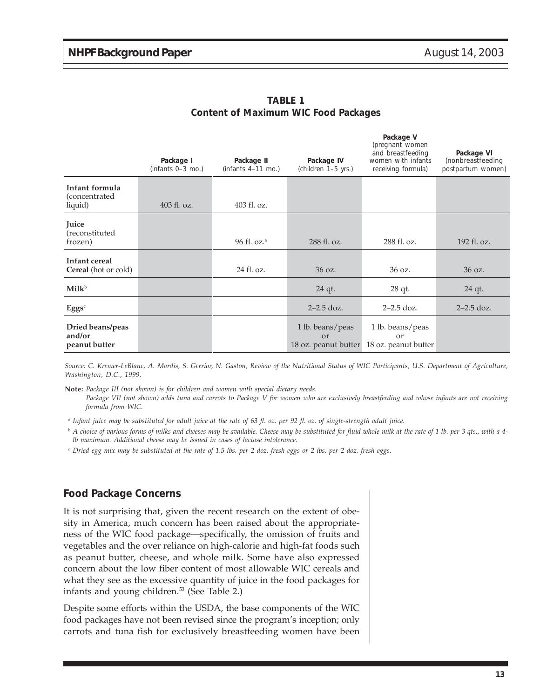**Package V**

|                                                            | Package I<br>(infants $0-3$ mo.) | Package II<br>(infants $4-11$ mo.) | Package IV<br>(children 1-5 yrs.)                      | (pregnant women)<br>and breastfeeding<br>women with infants<br>receiving formula) | Package VI<br>(nonbreastfeeding<br>postpartum women) |
|------------------------------------------------------------|----------------------------------|------------------------------------|--------------------------------------------------------|-----------------------------------------------------------------------------------|------------------------------------------------------|
| Infant formula<br>(concentrated)<br>liquid)                | 403 fl. oz.                      | 403 fl. oz.                        |                                                        |                                                                                   |                                                      |
| Juice<br>(reconstituted<br>frozen)                         |                                  | 96 fl. oz. <sup>a</sup>            | 288 fl. oz.                                            | 288 fl. oz.                                                                       | 192 fl. oz.                                          |
| Infant cereal<br><b>Cereal</b> (hot or cold)               |                                  | 24 fl. oz.                         | 36 oz.                                                 | 36 oz.                                                                            | 36 oz.                                               |
| $\text{Milk}^b$                                            |                                  |                                    | $24$ qt.                                               | 28 qt.                                                                            | 24 qt.                                               |
| $\mathbf{E} \mathbf{g} \mathbf{g} \mathbf{s}^{\mathrm{c}}$ |                                  |                                    | $2 - 2.5$ doz.                                         | $2 - 2.5$ doz.                                                                    | $2 - 2.5$ doz.                                       |
| Dried beans/peas<br>and/or<br>peanut butter                |                                  |                                    | 1 lb. beans/peas<br>$\alpha$ r<br>18 oz. peanut butter | 1 lb. beans/peas<br>$\alpha$ r<br>18 oz. peanut butter                            |                                                      |

**TABLE 1 Content of Maximum WIC Food Packages**

*Source: C. Kremer-LeBlanc, A. Mardis, S. Gerrior, N. Gaston, Review of the Nutritional Status of WIC Participants, U.S. Department of Agriculture, Washington, D.C., 1999.*

**Note:** *Package III (not shown) is for children and women with special dietary needs. Package VII (not shown) adds tuna and carrots to Package V for women who are exclusively breastfeeding and whose infants are not receiving formula from WIC.*

*<sup>a</sup> Infant juice may be substituted for adult juice at the rate of 63 fl. oz. per 92 fl. oz. of single-strength adult juice.*

<sup>b</sup> *A choice of various forms of milks and cheeses may be available. Cheese may be substituted for fluid whole milk at the rate of 1 lb. per 3 qts., with a 4 lb maximum. Additional cheese may be issued in cases of lactose intolerance.*

<sup>c</sup> *Dried egg mix may be substituted at the rate of 1.5 lbs. per 2 doz. fresh eggs or 2 lbs. per 2 doz. fresh eggs.*

#### **Food Package Concerns**

It is not surprising that, given the recent research on the extent of obesity in America, much concern has been raised about the appropriateness of the WIC food package—specifically, the omission of fruits and vegetables and the over reliance on high-calorie and high-fat foods such as peanut butter, cheese, and whole milk. Some have also expressed concern about the low fiber content of most allowable WIC cereals and what they see as the excessive quantity of juice in the food packages for infants and young children.<sup>53</sup> (See Table 2.)

Despite some efforts within the USDA, the base components of the WIC food packages have not been revised since the program's inception; only carrots and tuna fish for exclusively breastfeeding women have been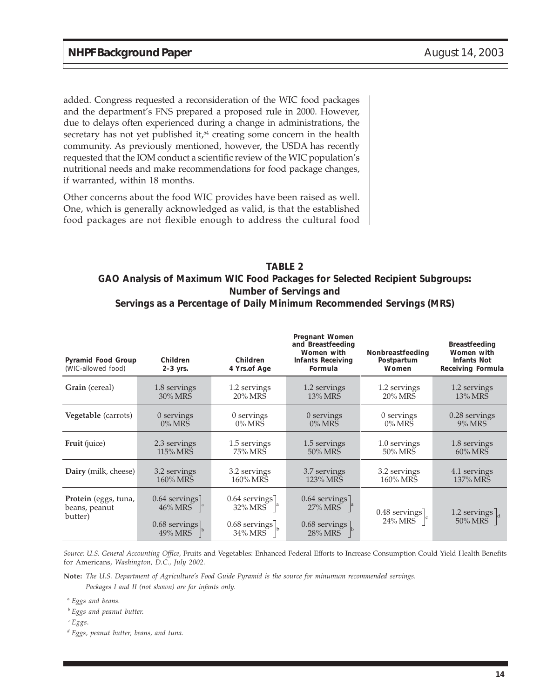added. Congress requested a reconsideration of the WIC food packages and the department's FNS prepared a proposed rule in 2000. However, due to delays often experienced during a change in administrations, the secretary has not yet published it, $54$  creating some concern in the health community. As previously mentioned, however, the USDA has recently requested that the IOM conduct a scientific review of the WIC population's nutritional needs and make recommendations for food package changes, if warranted, within 18 months.

Other concerns about the food WIC provides have been raised as well. One, which is generally acknowledged as valid, is that the established food packages are not flexible enough to address the cultural food

#### **TABLE 2 GAO Analysis of Maximum WIC Food Packages for Selected Recipient Subgroups: Number of Servings and Servings as a Percentage of Daily Minimum Recommended Servings (MRS)**

| Pyramid Food Group<br>(WIC-allowed food)         | Children<br>$2-3$ yrs.                                    | Children<br>4 Yrs.of Age                                 | Pregnant Women<br>and Breastfeeding<br>Women with<br><b>Infants Receiving</b><br>Formula | Nonbreastfeeding<br>Postpartum<br>Women            | <b>Breastfeeding</b><br>Women with<br><b>Infants Not</b><br><b>Receiving Formula</b> |
|--------------------------------------------------|-----------------------------------------------------------|----------------------------------------------------------|------------------------------------------------------------------------------------------|----------------------------------------------------|--------------------------------------------------------------------------------------|
| Grain (cereal)                                   | 1.8 servings                                              | 1.2 servings                                             | 1.2 servings                                                                             | 1.2 servings                                       | 1.2 servings                                                                         |
|                                                  | 30% MRS                                                   | 20% MRS                                                  | 13% MRS                                                                                  | 20% MRS                                            | 13% MRS                                                                              |
| Vegetable (carrots)                              | 0 servings                                                | 0 servings                                               | 0 servings                                                                               | 0 servings                                         | 0.28 servings                                                                        |
|                                                  | $0\%$ MRS                                                 | $0\%$ MRS                                                | $0\%$ MRS                                                                                | $0\%$ MRS                                          | 9% MRS                                                                               |
| Fruit (juice)                                    | 2.3 servings                                              | 1.5 servings                                             | 1.5 servings                                                                             | 1.0 servings                                       | 1.8 servings                                                                         |
|                                                  | 115% MRS                                                  | 75% MRS                                                  | 50% MRS                                                                                  | 50% MRS                                            | 60% MRS                                                                              |
| Dairy (milk, cheese)                             | 3.2 servings                                              | 3.2 servings                                             | 3.7 servings                                                                             | 3.2 servings                                       | 4.1 servings                                                                         |
|                                                  | 160% MRS                                                  | 160% MRS                                                 | 123% MRS                                                                                 | 160% MRS                                           | 137% MRS                                                                             |
| Protein (eggs, tuna,<br>beans, peanut<br>butter) | $0.64$ servings<br>46% MRS<br>$0.68$ servings]<br>49% MRS | $0.64$ servings<br>32% MRS<br>$0.68$ servings<br>34% MRS | $0.64$ servings<br>$27\%$ MRS $\parallel$ <sup>a</sup><br>$0.68$ servings]<br>28% MRS    | $0.48$ servings<br>$24\%$ MRS $\vert$ <sup>c</sup> | 1.2 servings $\big _{d}$<br>50% MRS                                                  |

*Source: U.S. General Accounting Office,* Fruits and Vegetables: Enhanced Federal Efforts to Increase Consumption Could Yield Health Benefits for Americans, *Washington, D.C., July 2002.*

**Note:** *The U.S. Department of Agriculture's Food Guide Pyramid is the source for minumum recommended servings. Packages I and II (not shown) are for infants only.*

<sup>a</sup> *Eggs and beans.*

*<sup>b</sup> Eggs and peanut butter.*

*<sup>c</sup> Eggs.*

*<sup>d</sup> Eggs, peanut butter, beans, and tuna.*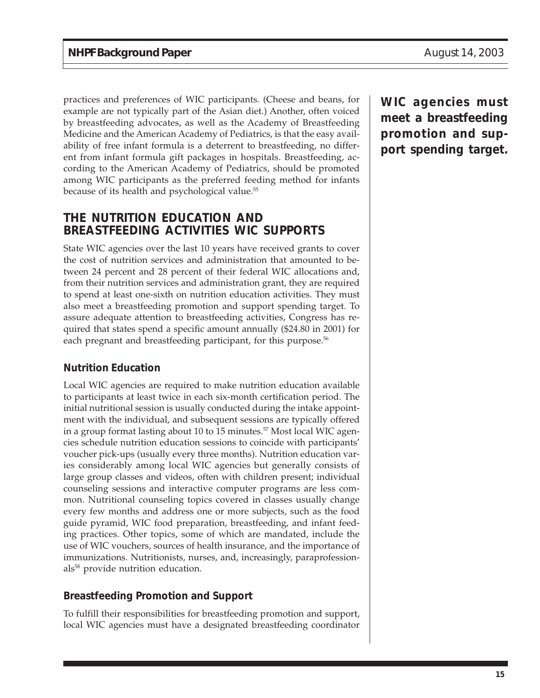practices and preferences of WIC participants. (Cheese and beans, for example are not typically part of the Asian diet.) Another, often voiced by breastfeeding advocates, as well as the Academy of Breastfeeding Medicine and the American Academy of Pediatrics, is that the easy availability of free infant formula is a deterrent to breastfeeding, no different from infant formula gift packages in hospitals. Breastfeeding, according to the American Academy of Pediatrics, should be promoted among WIC participants as the preferred feeding method for infants because of its health and psychological value.<sup>55</sup>

### **THE NUTRITION EDUCATION AND BREASTFEEDING ACTIVITIES WIC SUPPORTS**

State WIC agencies over the last 10 years have received grants to cover the cost of nutrition services and administration that amounted to between 24 percent and 28 percent of their federal WIC allocations and, from their nutrition services and administration grant, they are required to spend at least one-sixth on nutrition education activities. They must also meet a breastfeeding promotion and support spending target. To assure adequate attention to breastfeeding activities, Congress has required that states spend a specific amount annually (\$24.80 in 2001) for each pregnant and breastfeeding participant, for this purpose.<sup>56</sup>

#### **Nutrition Education**

Local WIC agencies are required to make nutrition education available to participants at least twice in each six-month certification period. The initial nutritional session is usually conducted during the intake appointment with the individual, and subsequent sessions are typically offered in a group format lasting about 10 to 15 minutes.<sup>57</sup> Most local WIC agencies schedule nutrition education sessions to coincide with participants' voucher pick-ups (usually every three months). Nutrition education varies considerably among local WIC agencies but generally consists of large group classes and videos, often with children present; individual counseling sessions and interactive computer programs are less common. Nutritional counseling topics covered in classes usually change every few months and address one or more subjects, such as the food guide pyramid, WIC food preparation, breastfeeding, and infant feeding practices. Other topics, some of which are mandated, include the use of WIC vouchers, sources of health insurance, and the importance of immunizations. Nutritionists, nurses, and, increasingly, paraprofessionals<sup>58</sup> provide nutrition education.

#### **Breastfeeding Promotion and Support**

To fulfill their responsibilities for breastfeeding promotion and support, local WIC agencies must have a designated breastfeeding coordinator

**WIC agencies must meet a breastfeeding promotion and support spending target.**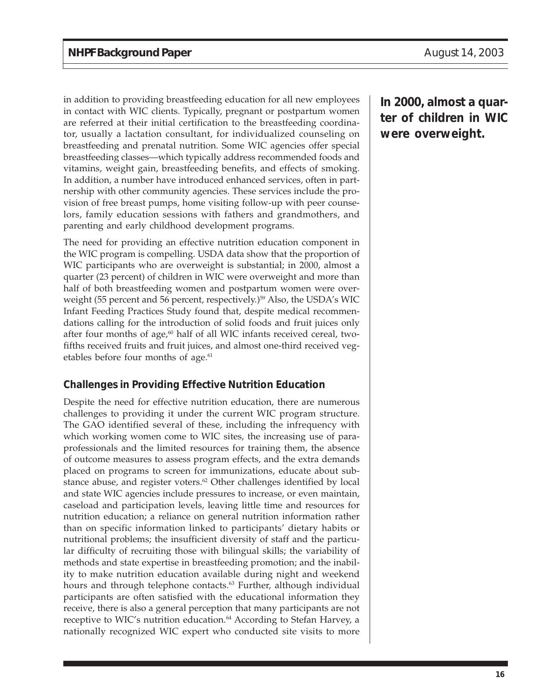in addition to providing breastfeeding education for all new employees in contact with WIC clients. Typically, pregnant or postpartum women are referred at their initial certification to the breastfeeding coordinator, usually a lactation consultant, for individualized counseling on breastfeeding and prenatal nutrition. Some WIC agencies offer special breastfeeding classes—which typically address recommended foods and vitamins, weight gain, breastfeeding benefits, and effects of smoking. In addition, a number have introduced enhanced services, often in partnership with other community agencies. These services include the provision of free breast pumps, home visiting follow-up with peer counselors, family education sessions with fathers and grandmothers, and parenting and early childhood development programs.

The need for providing an effective nutrition education component in the WIC program is compelling. USDA data show that the proportion of WIC participants who are overweight is substantial; in 2000, almost a quarter (23 percent) of children in WIC were overweight and more than half of both breastfeeding women and postpartum women were overweight (55 percent and 56 percent, respectively.)<sup>59</sup> Also, the USDA's WIC Infant Feeding Practices Study found that, despite medical recommendations calling for the introduction of solid foods and fruit juices only after four months of age, $60$  half of all WIC infants received cereal, twofifths received fruits and fruit juices, and almost one-third received vegetables before four months of age.<sup>61</sup>

#### **Challenges in Providing Effective Nutrition Education**

Despite the need for effective nutrition education, there are numerous challenges to providing it under the current WIC program structure. The GAO identified several of these, including the infrequency with which working women come to WIC sites, the increasing use of paraprofessionals and the limited resources for training them, the absence of outcome measures to assess program effects, and the extra demands placed on programs to screen for immunizations, educate about substance abuse, and register voters.<sup>62</sup> Other challenges identified by local and state WIC agencies include pressures to increase, or even maintain, caseload and participation levels, leaving little time and resources for nutrition education; a reliance on general nutrition information rather than on specific information linked to participants' dietary habits or nutritional problems; the insufficient diversity of staff and the particular difficulty of recruiting those with bilingual skills; the variability of methods and state expertise in breastfeeding promotion; and the inability to make nutrition education available during night and weekend hours and through telephone contacts.<sup>63</sup> Further, although individual participants are often satisfied with the educational information they receive, there is also a general perception that many participants are not receptive to WIC's nutrition education.<sup>64</sup> According to Stefan Harvey, a nationally recognized WIC expert who conducted site visits to more

**In 2000, almost a quarter of children in WIC were overweight.**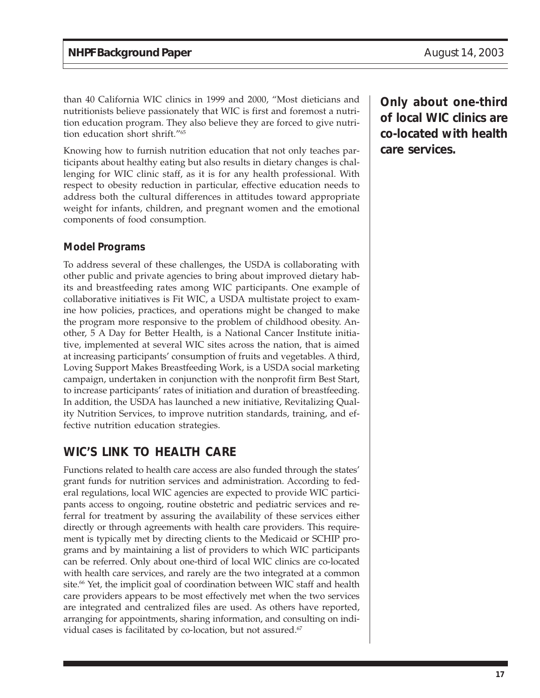than 40 California WIC clinics in 1999 and 2000, "Most dieticians and nutritionists believe passionately that WIC is first and foremost a nutrition education program. They also believe they are forced to give nutrition education short shrift."65

Knowing how to furnish nutrition education that not only teaches participants about healthy eating but also results in dietary changes is challenging for WIC clinic staff, as it is for any health professional. With respect to obesity reduction in particular, effective education needs to address both the cultural differences in attitudes toward appropriate weight for infants, children, and pregnant women and the emotional components of food consumption.

#### **Model Programs**

To address several of these challenges, the USDA is collaborating with other public and private agencies to bring about improved dietary habits and breastfeeding rates among WIC participants. One example of collaborative initiatives is Fit WIC, a USDA multistate project to examine how policies, practices, and operations might be changed to make the program more responsive to the problem of childhood obesity. Another, 5 A Day for Better Health, is a National Cancer Institute initiative, implemented at several WIC sites across the nation, that is aimed at increasing participants' consumption of fruits and vegetables. A third, Loving Support Makes Breastfeeding Work, is a USDA social marketing campaign, undertaken in conjunction with the nonprofit firm Best Start, to increase participants' rates of initiation and duration of breastfeeding. In addition, the USDA has launched a new initiative, Revitalizing Quality Nutrition Services, to improve nutrition standards, training, and effective nutrition education strategies.

# **WIC'S LINK TO HEALTH CARE**

Functions related to health care access are also funded through the states' grant funds for nutrition services and administration. According to federal regulations, local WIC agencies are expected to provide WIC participants access to ongoing, routine obstetric and pediatric services and referral for treatment by assuring the availability of these services either directly or through agreements with health care providers. This requirement is typically met by directing clients to the Medicaid or SCHIP programs and by maintaining a list of providers to which WIC participants can be referred. Only about one-third of local WIC clinics are co-located with health care services, and rarely are the two integrated at a common site.<sup>66</sup> Yet, the implicit goal of coordination between WIC staff and health care providers appears to be most effectively met when the two services are integrated and centralized files are used. As others have reported, arranging for appointments, sharing information, and consulting on individual cases is facilitated by co-location, but not assured. $67$ 

**Only about one-third of local WIC clinics are co-located with health care services.**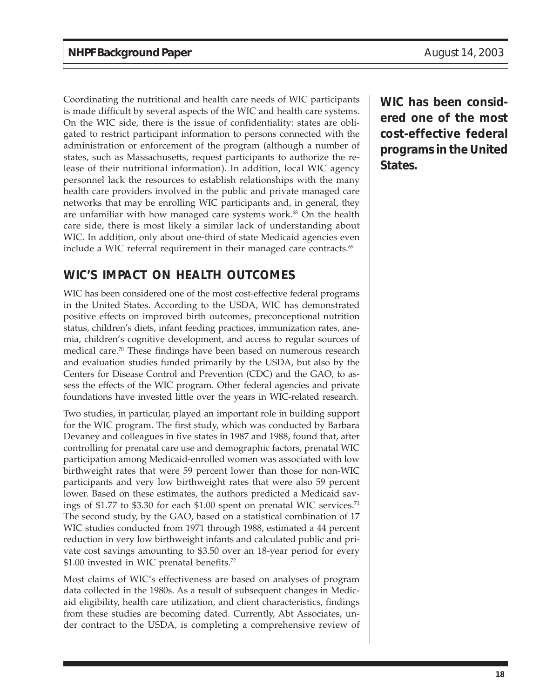Coordinating the nutritional and health care needs of WIC participants is made difficult by several aspects of the WIC and health care systems. On the WIC side, there is the issue of confidentiality: states are obligated to restrict participant information to persons connected with the administration or enforcement of the program (although a number of states, such as Massachusetts, request participants to authorize the release of their nutritional information). In addition, local WIC agency personnel lack the resources to establish relationships with the many health care providers involved in the public and private managed care networks that may be enrolling WIC participants and, in general, they are unfamiliar with how managed care systems work.<sup>68</sup> On the health care side, there is most likely a similar lack of understanding about WIC. In addition, only about one-third of state Medicaid agencies even include a WIC referral requirement in their managed care contracts. $69$ 

# **WIC'S IMPACT ON HEALTH OUTCOMES**

WIC has been considered one of the most cost-effective federal programs in the United States. According to the USDA, WIC has demonstrated positive effects on improved birth outcomes, preconceptional nutrition status, children's diets, infant feeding practices, immunization rates, anemia, children's cognitive development, and access to regular sources of medical care.70 These findings have been based on numerous research and evaluation studies funded primarily by the USDA, but also by the Centers for Disease Control and Prevention (CDC) and the GAO, to assess the effects of the WIC program. Other federal agencies and private foundations have invested little over the years in WIC-related research.

Two studies, in particular, played an important role in building support for the WIC program. The first study, which was conducted by Barbara Devaney and colleagues in five states in 1987 and 1988, found that, after controlling for prenatal care use and demographic factors, prenatal WIC participation among Medicaid-enrolled women was associated with low birthweight rates that were 59 percent lower than those for non-WIC participants and very low birthweight rates that were also 59 percent lower. Based on these estimates, the authors predicted a Medicaid savings of \$1.77 to \$3.30 for each \$1.00 spent on prenatal WIC services.<sup>71</sup> The second study, by the GAO, based on a statistical combination of 17 WIC studies conducted from 1971 through 1988, estimated a 44 percent reduction in very low birthweight infants and calculated public and private cost savings amounting to \$3.50 over an 18-year period for every \$1.00 invested in WIC prenatal benefits.<sup>72</sup>

Most claims of WIC's effectiveness are based on analyses of program data collected in the 1980s. As a result of subsequent changes in Medicaid eligibility, health care utilization, and client characteristics, findings from these studies are becoming dated. Currently, Abt Associates, under contract to the USDA, is completing a comprehensive review of **WIC has been considered one of the most cost-effective federal programs in the United States.**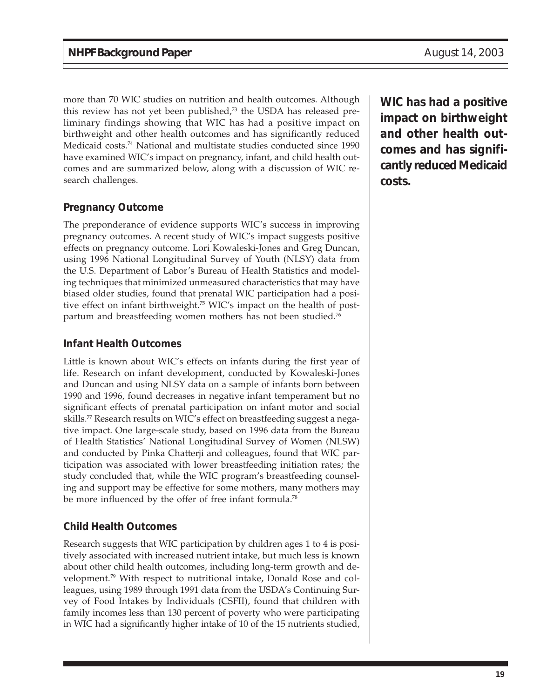more than 70 WIC studies on nutrition and health outcomes. Although this review has not yet been published,<sup>73</sup> the USDA has released preliminary findings showing that WIC has had a positive impact on birthweight and other health outcomes and has significantly reduced Medicaid costs.74 National and multistate studies conducted since 1990 have examined WIC's impact on pregnancy, infant, and child health outcomes and are summarized below, along with a discussion of WIC research challenges.

### **Pregnancy Outcome**

The preponderance of evidence supports WIC's success in improving pregnancy outcomes. A recent study of WIC's impact suggests positive effects on pregnancy outcome. Lori Kowaleski-Jones and Greg Duncan, using 1996 National Longitudinal Survey of Youth (NLSY) data from the U.S. Department of Labor's Bureau of Health Statistics and modeling techniques that minimized unmeasured characteristics that may have biased older studies, found that prenatal WIC participation had a positive effect on infant birthweight.75 WIC's impact on the health of postpartum and breastfeeding women mothers has not been studied.<sup>76</sup>

#### **Infant Health Outcomes**

Little is known about WIC's effects on infants during the first year of life. Research on infant development, conducted by Kowaleski-Jones and Duncan and using NLSY data on a sample of infants born between 1990 and 1996, found decreases in negative infant temperament but no significant effects of prenatal participation on infant motor and social skills.<sup>77</sup> Research results on WIC's effect on breastfeeding suggest a negative impact. One large-scale study, based on 1996 data from the Bureau of Health Statistics' National Longitudinal Survey of Women (NLSW) and conducted by Pinka Chatterji and colleagues, found that WIC participation was associated with lower breastfeeding initiation rates; the study concluded that, while the WIC program's breastfeeding counseling and support may be effective for some mothers, many mothers may be more influenced by the offer of free infant formula.<sup>78</sup>

#### **Child Health Outcomes**

Research suggests that WIC participation by children ages 1 to 4 is positively associated with increased nutrient intake, but much less is known about other child health outcomes, including long-term growth and development.79 With respect to nutritional intake, Donald Rose and colleagues, using 1989 through 1991 data from the USDA's Continuing Survey of Food Intakes by Individuals (CSFII), found that children with family incomes less than 130 percent of poverty who were participating in WIC had a significantly higher intake of 10 of the 15 nutrients studied, **WIC has had a positive impact on birthweight and other health outcomes and has significantly reduced Medicaid costs.**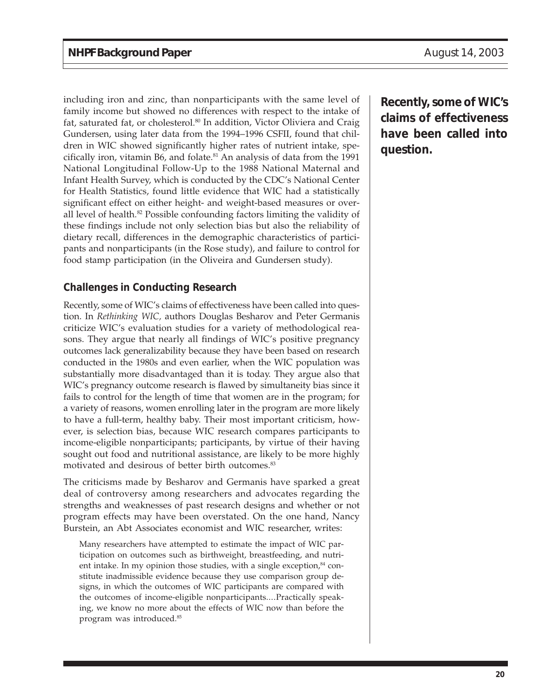including iron and zinc, than nonparticipants with the same level of family income but showed no differences with respect to the intake of fat, saturated fat, or cholesterol.<sup>80</sup> In addition, Victor Oliviera and Craig Gundersen, using later data from the 1994–1996 CSFII, found that children in WIC showed significantly higher rates of nutrient intake, specifically iron, vitamin B6, and folate.<sup>81</sup> An analysis of data from the 1991 National Longitudinal Follow-Up to the 1988 National Maternal and Infant Health Survey, which is conducted by the CDC's National Center for Health Statistics, found little evidence that WIC had a statistically significant effect on either height- and weight-based measures or overall level of health.<sup>82</sup> Possible confounding factors limiting the validity of these findings include not only selection bias but also the reliability of dietary recall, differences in the demographic characteristics of participants and nonparticipants (in the Rose study), and failure to control for food stamp participation (in the Oliveira and Gundersen study).

### **Challenges in Conducting Research**

Recently, some of WIC's claims of effectiveness have been called into question. In *Rethinking WIC,* authors Douglas Besharov and Peter Germanis criticize WIC's evaluation studies for a variety of methodological reasons. They argue that nearly all findings of WIC's positive pregnancy outcomes lack generalizability because they have been based on research conducted in the 1980s and even earlier, when the WIC population was substantially more disadvantaged than it is today. They argue also that WIC's pregnancy outcome research is flawed by simultaneity bias since it fails to control for the length of time that women are in the program; for a variety of reasons, women enrolling later in the program are more likely to have a full-term, healthy baby. Their most important criticism, however, is selection bias, because WIC research compares participants to income-eligible nonparticipants; participants, by virtue of their having sought out food and nutritional assistance, are likely to be more highly motivated and desirous of better birth outcomes.<sup>83</sup>

The criticisms made by Besharov and Germanis have sparked a great deal of controversy among researchers and advocates regarding the strengths and weaknesses of past research designs and whether or not program effects may have been overstated. On the one hand, Nancy Burstein, an Abt Associates economist and WIC researcher, writes:

Many researchers have attempted to estimate the impact of WIC participation on outcomes such as birthweight, breastfeeding, and nutrient intake. In my opinion those studies, with a single exception, $84$  constitute inadmissible evidence because they use comparison group designs, in which the outcomes of WIC participants are compared with the outcomes of income-eligible nonparticipants....Practically speaking, we know no more about the effects of WIC now than before the program was introduced.85

**Recently, some of WIC's claims of effectiveness have been called into question.**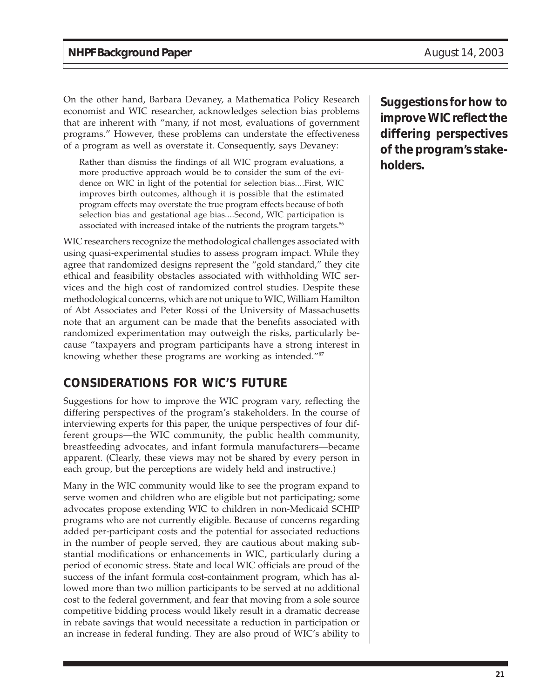On the other hand, Barbara Devaney, a Mathematica Policy Research economist and WIC researcher, acknowledges selection bias problems that are inherent with "many, if not most, evaluations of government programs." However, these problems can understate the effectiveness of a program as well as overstate it. Consequently, says Devaney:

Rather than dismiss the findings of all WIC program evaluations, a more productive approach would be to consider the sum of the evidence on WIC in light of the potential for selection bias....First, WIC improves birth outcomes, although it is possible that the estimated program effects may overstate the true program effects because of both selection bias and gestational age bias....Second, WIC participation is associated with increased intake of the nutrients the program targets.<sup>86</sup>

WIC researchers recognize the methodological challenges associated with using quasi-experimental studies to assess program impact. While they agree that randomized designs represent the "gold standard," they cite ethical and feasibility obstacles associated with withholding WIC services and the high cost of randomized control studies. Despite these methodological concerns, which are not unique to WIC, William Hamilton of Abt Associates and Peter Rossi of the University of Massachusetts note that an argument can be made that the benefits associated with randomized experimentation may outweigh the risks, particularly because "taxpayers and program participants have a strong interest in knowing whether these programs are working as intended."87

# **CONSIDERATIONS FOR WIC'S FUTURE**

Suggestions for how to improve the WIC program vary, reflecting the differing perspectives of the program's stakeholders. In the course of interviewing experts for this paper, the unique perspectives of four different groups—the WIC community, the public health community, breastfeeding advocates, and infant formula manufacturers—became apparent. (Clearly, these views may not be shared by every person in each group, but the perceptions are widely held and instructive.)

Many in the WIC community would like to see the program expand to serve women and children who are eligible but not participating; some advocates propose extending WIC to children in non-Medicaid SCHIP programs who are not currently eligible. Because of concerns regarding added per-participant costs and the potential for associated reductions in the number of people served, they are cautious about making substantial modifications or enhancements in WIC, particularly during a period of economic stress. State and local WIC officials are proud of the success of the infant formula cost-containment program, which has allowed more than two million participants to be served at no additional cost to the federal government, and fear that moving from a sole source competitive bidding process would likely result in a dramatic decrease in rebate savings that would necessitate a reduction in participation or an increase in federal funding. They are also proud of WIC's ability to

**Suggestions for how to improve WIC reflect the differing perspectives of the program's stakeholders.**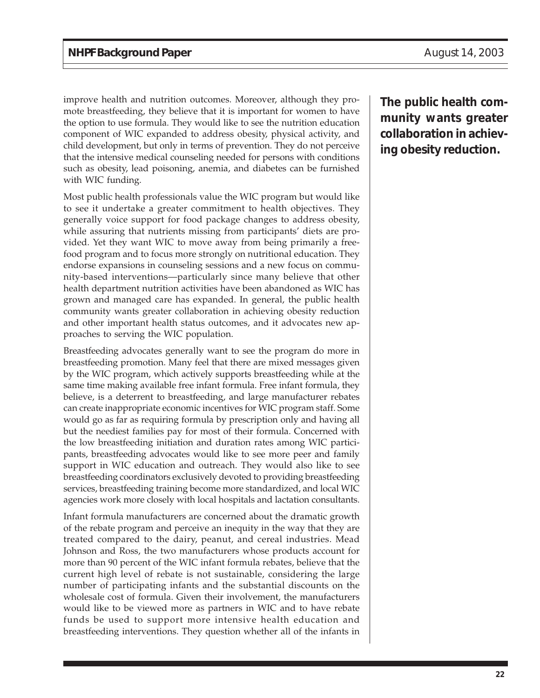improve health and nutrition outcomes. Moreover, although they promote breastfeeding, they believe that it is important for women to have the option to use formula. They would like to see the nutrition education component of WIC expanded to address obesity, physical activity, and child development, but only in terms of prevention. They do not perceive that the intensive medical counseling needed for persons with conditions such as obesity, lead poisoning, anemia, and diabetes can be furnished with WIC funding.

Most public health professionals value the WIC program but would like to see it undertake a greater commitment to health objectives. They generally voice support for food package changes to address obesity, while assuring that nutrients missing from participants' diets are provided. Yet they want WIC to move away from being primarily a freefood program and to focus more strongly on nutritional education. They endorse expansions in counseling sessions and a new focus on community-based interventions—particularly since many believe that other health department nutrition activities have been abandoned as WIC has grown and managed care has expanded. In general, the public health community wants greater collaboration in achieving obesity reduction and other important health status outcomes, and it advocates new approaches to serving the WIC population.

Breastfeeding advocates generally want to see the program do more in breastfeeding promotion. Many feel that there are mixed messages given by the WIC program, which actively supports breastfeeding while at the same time making available free infant formula. Free infant formula, they believe, is a deterrent to breastfeeding, and large manufacturer rebates can create inappropriate economic incentives for WIC program staff. Some would go as far as requiring formula by prescription only and having all but the neediest families pay for most of their formula. Concerned with the low breastfeeding initiation and duration rates among WIC participants, breastfeeding advocates would like to see more peer and family support in WIC education and outreach. They would also like to see breastfeeding coordinators exclusively devoted to providing breastfeeding services, breastfeeding training become more standardized, and local WIC agencies work more closely with local hospitals and lactation consultants.

Infant formula manufacturers are concerned about the dramatic growth of the rebate program and perceive an inequity in the way that they are treated compared to the dairy, peanut, and cereal industries. Mead Johnson and Ross, the two manufacturers whose products account for more than 90 percent of the WIC infant formula rebates, believe that the current high level of rebate is not sustainable, considering the large number of participating infants and the substantial discounts on the wholesale cost of formula. Given their involvement, the manufacturers would like to be viewed more as partners in WIC and to have rebate funds be used to support more intensive health education and breastfeeding interventions. They question whether all of the infants in

**The public health community wants greater collaboration in achieving obesity reduction.**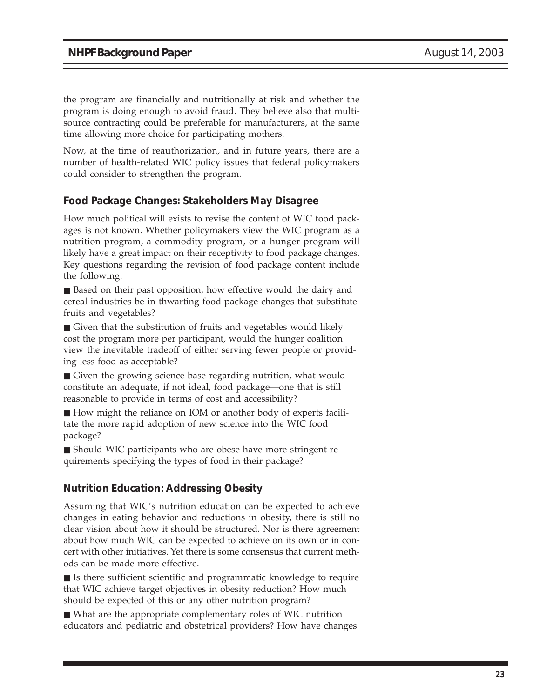the program are financially and nutritionally at risk and whether the program is doing enough to avoid fraud. They believe also that multisource contracting could be preferable for manufacturers, at the same time allowing more choice for participating mothers.

Now, at the time of reauthorization, and in future years, there are a number of health-related WIC policy issues that federal policymakers could consider to strengthen the program.

#### **Food Package Changes: Stakeholders May Disagree**

How much political will exists to revise the content of WIC food packages is not known. Whether policymakers view the WIC program as a nutrition program, a commodity program, or a hunger program will likely have a great impact on their receptivity to food package changes. Key questions regarding the revision of food package content include the following:

■ Based on their past opposition, how effective would the dairy and cereal industries be in thwarting food package changes that substitute fruits and vegetables?

■ Given that the substitution of fruits and vegetables would likely cost the program more per participant, would the hunger coalition view the inevitable tradeoff of either serving fewer people or providing less food as acceptable?

■ Given the growing science base regarding nutrition, what would constitute an adequate, if not ideal, food package—one that is still reasonable to provide in terms of cost and accessibility?

■ How might the reliance on IOM or another body of experts facilitate the more rapid adoption of new science into the WIC food package?

■ Should WIC participants who are obese have more stringent requirements specifying the types of food in their package?

#### **Nutrition Education: Addressing Obesity**

Assuming that WIC's nutrition education can be expected to achieve changes in eating behavior and reductions in obesity, there is still no clear vision about how it should be structured. Nor is there agreement about how much WIC can be expected to achieve on its own or in concert with other initiatives. Yet there is some consensus that current methods can be made more effective.

■ Is there sufficient scientific and programmatic knowledge to require that WIC achieve target objectives in obesity reduction? How much should be expected of this or any other nutrition program?

■ What are the appropriate complementary roles of WIC nutrition educators and pediatric and obstetrical providers? How have changes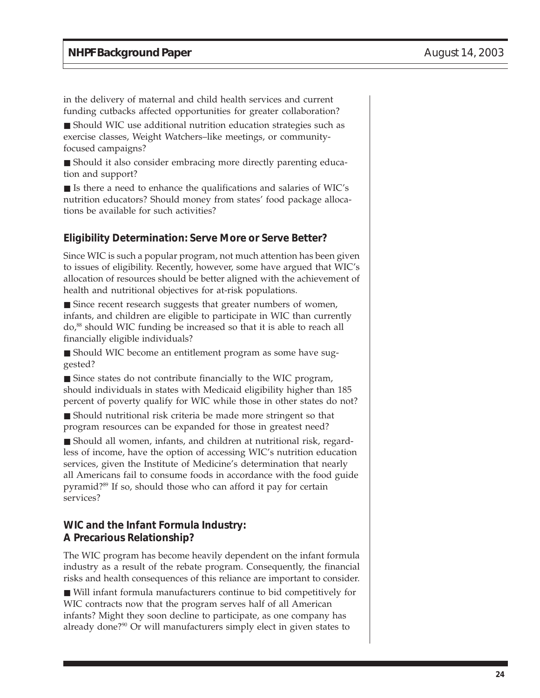in the delivery of maternal and child health services and current funding cutbacks affected opportunities for greater collaboration?

■ Should WIC use additional nutrition education strategies such as exercise classes, Weight Watchers–like meetings, or communityfocused campaigns?

■ Should it also consider embracing more directly parenting education and support?

■ Is there a need to enhance the qualifications and salaries of WIC's nutrition educators? Should money from states' food package allocations be available for such activities?

#### **Eligibility Determination: Serve More or Serve Better?**

Since WIC is such a popular program, not much attention has been given to issues of eligibility. Recently, however, some have argued that WIC's allocation of resources should be better aligned with the achievement of health and nutritional objectives for at-risk populations.

■ Since recent research suggests that greater numbers of women, infants, and children are eligible to participate in WIC than currently do,<sup>88</sup> should WIC funding be increased so that it is able to reach all financially eligible individuals?

■ Should WIC become an entitlement program as some have suggested?

■ Since states do not contribute financially to the WIC program, should individuals in states with Medicaid eligibility higher than 185 percent of poverty qualify for WIC while those in other states do not?

■ Should nutritional risk criteria be made more stringent so that program resources can be expanded for those in greatest need?

■ Should all women, infants, and children at nutritional risk, regardless of income, have the option of accessing WIC's nutrition education services, given the Institute of Medicine's determination that nearly all Americans fail to consume foods in accordance with the food guide pyramid?89 If so, should those who can afford it pay for certain services?

#### **WIC and the Infant Formula Industry: A Precarious Relationship?**

The WIC program has become heavily dependent on the infant formula industry as a result of the rebate program. Consequently, the financial risks and health consequences of this reliance are important to consider.

■ Will infant formula manufacturers continue to bid competitively for WIC contracts now that the program serves half of all American infants? Might they soon decline to participate, as one company has already done?<sup>90</sup> Or will manufacturers simply elect in given states to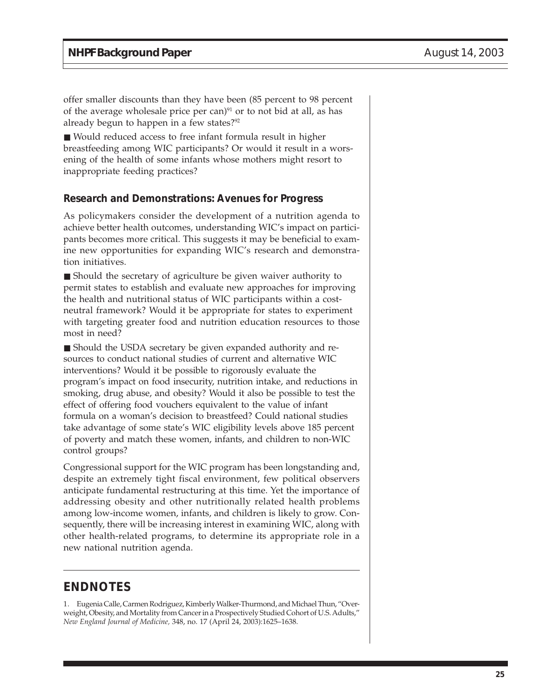offer smaller discounts than they have been (85 percent to 98 percent of the average wholesale price per can) $91$  or to not bid at all, as has already begun to happen in a few states?<sup>92</sup>

■ Would reduced access to free infant formula result in higher breastfeeding among WIC participants? Or would it result in a worsening of the health of some infants whose mothers might resort to inappropriate feeding practices?

#### **Research and Demonstrations: Avenues for Progress**

As policymakers consider the development of a nutrition agenda to achieve better health outcomes, understanding WIC's impact on participants becomes more critical. This suggests it may be beneficial to examine new opportunities for expanding WIC's research and demonstration initiatives.

■ Should the secretary of agriculture be given waiver authority to permit states to establish and evaluate new approaches for improving the health and nutritional status of WIC participants within a costneutral framework? Would it be appropriate for states to experiment with targeting greater food and nutrition education resources to those most in need?

■ Should the USDA secretary be given expanded authority and resources to conduct national studies of current and alternative WIC interventions? Would it be possible to rigorously evaluate the program's impact on food insecurity, nutrition intake, and reductions in smoking, drug abuse, and obesity? Would it also be possible to test the effect of offering food vouchers equivalent to the value of infant formula on a woman's decision to breastfeed? Could national studies take advantage of some state's WIC eligibility levels above 185 percent of poverty and match these women, infants, and children to non-WIC control groups?

Congressional support for the WIC program has been longstanding and, despite an extremely tight fiscal environment, few political observers anticipate fundamental restructuring at this time. Yet the importance of addressing obesity and other nutritionally related health problems among low-income women, infants, and children is likely to grow. Consequently, there will be increasing interest in examining WIC, along with other health-related programs, to determine its appropriate role in a new national nutrition agenda.

## **ENDNOTES**

1. Eugenia Calle, Carmen Rodriguez, Kimberly Walker-Thurmond, and Michael Thun, "Overweight, Obesity, and Mortality from Cancer in a Prospectively Studied Cohort of U.S. Adults," *New England Journal of Medicine,* 348, no. 17 (April 24, 2003):1625–1638.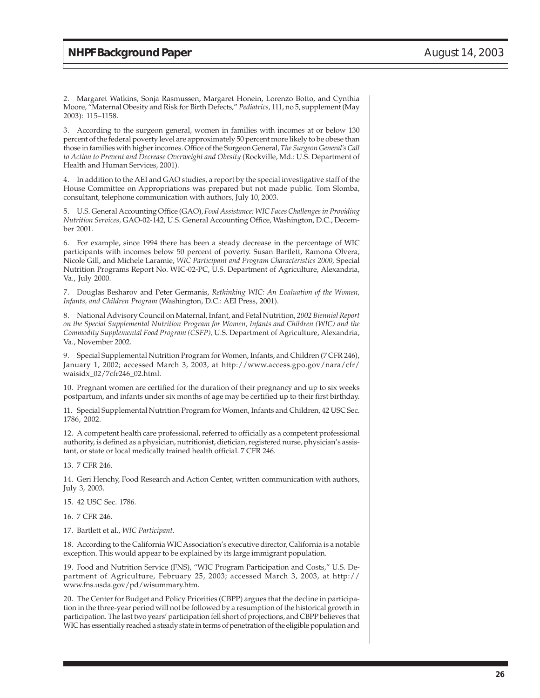2. Margaret Watkins, Sonja Rasmussen, Margaret Honein, Lorenzo Botto, and Cynthia Moore, "Maternal Obesity and Risk for Birth Defects," *Pediatrics,* 111, no 5, supplement (May 2003): 115–1158.

3. According to the surgeon general, women in families with incomes at or below 130 percent of the federal poverty level are approximately 50 percent more likely to be obese than those in families with higher incomes. Office of the Surgeon General, *The Surgeon General's Call to Action to Prevent and Decrease Overweight and Obesity* (Rockville, Md.: U.S. Department of Health and Human Services, 2001).

4. In addition to the AEI and GAO studies, a report by the special investigative staff of the House Committee on Appropriations was prepared but not made public. Tom Slomba, consultant, telephone communication with authors, July 10, 2003.

5. U.S. General Accounting Office (GAO), *Food Assistance: WIC Faces Challenges in Providing Nutrition Services,* GAO-02-142, U.S. General Accounting Office, Washington, D.C., December 2001.

6. For example, since 1994 there has been a steady decrease in the percentage of WIC participants with incomes below 50 percent of poverty. Susan Bartlett, Ramona Olvera, Nicole Gill, and Michele Laramie, *WIC Participant and Program Characteristics 2000,* Special Nutrition Programs Report No. WIC-02-PC, U.S. Department of Agriculture, Alexandria, Va., July 2000.

7. Douglas Besharov and Peter Germanis, *Rethinking WIC: An Evaluation of the Women, Infants, and Children Program* (Washington, D.C.: AEI Press, 2001).

8. National Advisory Council on Maternal, Infant, and Fetal Nutrition, *2002 Biennial Report on the Special Supplemental Nutrition Program for Women, Infants and Children (WIC) and the Commodity Supplemental Food Program (CSFP),* U.S. Department of Agriculture, Alexandria, Va., November 2002.

9. Special Supplemental Nutrition Program for Women, Infants, and Children (7 CFR 246), January 1, 2002; accessed March 3, 2003, at http://www.access.gpo.gov/nara/cfr/ waisidx\_02/7cfr246\_02.html.

10. Pregnant women are certified for the duration of their pregnancy and up to six weeks postpartum, and infants under six months of age may be certified up to their first birthday.

11. Special Supplemental Nutrition Program for Women, Infants and Children, 42 USC Sec. 1786, 2002.

12. A competent health care professional, referred to officially as a competent professional authority, is defined as a physician, nutritionist, dietician, registered nurse, physician's assistant, or state or local medically trained health official. 7 CFR 246.

13. 7 CFR 246.

14. Geri Henchy, Food Research and Action Center, written communication with authors, July 3, 2003.

15. 42 USC Sec. 1786.

16. 7 CFR 246.

17. Bartlett et al., *WIC Participant.*

18. According to the California WIC Association's executive director, California is a notable exception. This would appear to be explained by its large immigrant population.

19. Food and Nutrition Service (FNS), "WIC Program Participation and Costs," U.S. Department of Agriculture, February 25, 2003; accessed March 3, 2003, at http:// www.fns.usda.gov/pd/wisummary.htm.

20. The Center for Budget and Policy Priorities (CBPP) argues that the decline in participation in the three-year period will not be followed by a resumption of the historical growth in participation. The last two years' participation fell short of projections, and CBPP believes that WIC has essentially reached a steady state in terms of penetration of the eligible population and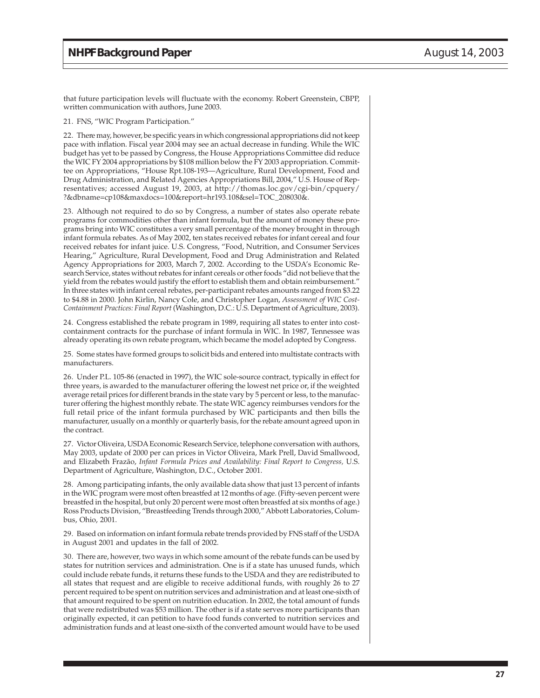that future participation levels will fluctuate with the economy. Robert Greenstein, CBPP, written communication with authors, June 2003.

#### 21. FNS, "WIC Program Participation."

22. There may, however, be specific years in which congressional appropriations did not keep pace with inflation. Fiscal year 2004 may see an actual decrease in funding. While the WIC budget has yet to be passed by Congress, the House Appropriations Committee did reduce the WIC FY 2004 appropriations by \$108 million below the FY 2003 appropriation. Committee on Appropriations, "House Rpt.108-193—Agriculture, Rural Development, Food and Drug Administration, and Related Agencies Appropriations Bill, 2004," U.S. House of Representatives; accessed August 19, 2003, at http://thomas.loc.gov/cgi-bin/cpquery/ ?&dbname=cp108&maxdocs=100&report=hr193.108&sel=TOC\_208030&.

23. Although not required to do so by Congress, a number of states also operate rebate programs for commodities other than infant formula, but the amount of money these programs bring into WIC constitutes a very small percentage of the money brought in through infant formula rebates. As of May 2002, ten states received rebates for infant cereal and four received rebates for infant juice. U.S. Congress, "Food, Nutrition, and Consumer Services Hearing," Agriculture, Rural Development, Food and Drug Administration and Related Agency Appropriations for 2003, March 7, 2002. According to the USDA's Economic Research Service, states without rebates for infant cereals or other foods "did not believe that the yield from the rebates would justify the effort to establish them and obtain reimbursement." In three states with infant cereal rebates, per-participant rebates amounts ranged from \$3.22 to \$4.88 in 2000. John Kirlin, Nancy Cole, and Christopher Logan, *Assessment of WIC Cost-Containment Practices: Final Report* (Washington, D.C.: U.S. Department of Agriculture, 2003).

24. Congress established the rebate program in 1989, requiring all states to enter into costcontainment contracts for the purchase of infant formula in WIC. In 1987, Tennessee was already operating its own rebate program, which became the model adopted by Congress.

25. Some states have formed groups to solicit bids and entered into multistate contracts with manufacturers.

26. Under P.L. 105-86 (enacted in 1997), the WIC sole-source contract, typically in effect for three years, is awarded to the manufacturer offering the lowest net price or, if the weighted average retail prices for different brands in the state vary by 5 percent or less, to the manufacturer offering the highest monthly rebate. The state WIC agency reimburses vendors for the full retail price of the infant formula purchased by WIC participants and then bills the manufacturer, usually on a monthly or quarterly basis, for the rebate amount agreed upon in the contract.

27. Victor Oliveira, USDA Economic Research Service, telephone conversation with authors, May 2003, update of 2000 per can prices in Victor Oliveira, Mark Prell, David Smallwood, and Elizabeth Frazão, *Infant Formula Prices and Availability: Final Report to Congress,* U.S. Department of Agriculture, Washington, D.C., October 2001.

28. Among participating infants, the only available data show that just 13 percent of infants in the WIC program were most often breastfed at 12 months of age. (Fifty-seven percent were breastfed in the hospital, but only 20 percent were most often breastfed at six months of age.) Ross Products Division, "Breastfeeding Trends through 2000," Abbott Laboratories, Columbus, Ohio, 2001.

29. Based on information on infant formula rebate trends provided by FNS staff of the USDA in August 2001 and updates in the fall of 2002.

30. There are, however, two ways in which some amount of the rebate funds can be used by states for nutrition services and administration. One is if a state has unused funds, which could include rebate funds, it returns these funds to the USDA and they are redistributed to all states that request and are eligible to receive additional funds, with roughly 26 to 27 percent required to be spent on nutrition services and administration and at least one-sixth of that amount required to be spent on nutrition education. In 2002, the total amount of funds that were redistributed was \$53 million. The other is if a state serves more participants than originally expected, it can petition to have food funds converted to nutrition services and administration funds and at least one-sixth of the converted amount would have to be used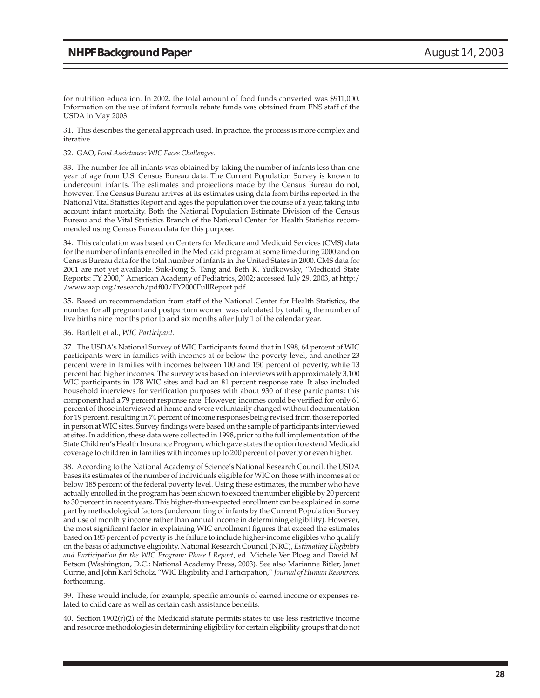for nutrition education. In 2002, the total amount of food funds converted was \$911,000. Information on the use of infant formula rebate funds was obtained from FNS staff of the USDA in May 2003.

31. This describes the general approach used. In practice, the process is more complex and iterative.

#### 32. GAO, *Food Assistance: WIC Faces Challenges.*

33. The number for all infants was obtained by taking the number of infants less than one year of age from U.S. Census Bureau data. The Current Population Survey is known to undercount infants. The estimates and projections made by the Census Bureau do not, however. The Census Bureau arrives at its estimates using data from births reported in the National Vital Statistics Report and ages the population over the course of a year, taking into account infant mortality. Both the National Population Estimate Division of the Census Bureau and the Vital Statistics Branch of the National Center for Health Statistics recommended using Census Bureau data for this purpose.

34. This calculation was based on Centers for Medicare and Medicaid Services (CMS) data for the number of infants enrolled in the Medicaid program at some time during 2000 and on Census Bureau data for the total number of infants in the United States in 2000. CMS data for 2001 are not yet available. Suk-Fong S. Tang and Beth K. Yudkowsky, "Medicaid State Reports: FY 2000," American Academy of Pediatrics, 2002; accessed July 29, 2003, at http:/ /www.aap.org/research/pdf00/FY2000FullReport.pdf.

35. Based on recommendation from staff of the National Center for Health Statistics, the number for all pregnant and postpartum women was calculated by totaling the number of live births nine months prior to and six months after July 1 of the calendar year.

#### 36. Bartlett et al., *WIC Participant.*

37. The USDA's National Survey of WIC Participants found that in 1998, 64 percent of WIC participants were in families with incomes at or below the poverty level, and another 23 percent were in families with incomes between 100 and 150 percent of poverty, while 13 percent had higher incomes. The survey was based on interviews with approximately 3,100 WIC participants in 178 WIC sites and had an 81 percent response rate. It also included household interviews for verification purposes with about 930 of these participants; this component had a 79 percent response rate. However, incomes could be verified for only 61 percent of those interviewed at home and were voluntarily changed without documentation for 19 percent, resulting in 74 percent of income responses being revised from those reported in person at WIC sites. Survey findings were based on the sample of participants interviewed at sites. In addition, these data were collected in 1998, prior to the full implementation of the State Children's Health Insurance Program, which gave states the option to extend Medicaid coverage to children in families with incomes up to 200 percent of poverty or even higher.

38. According to the National Academy of Science's National Research Council, the USDA bases its estimates of the number of individuals eligible for WIC on those with incomes at or below 185 percent of the federal poverty level. Using these estimates, the number who have actually enrolled in the program has been shown to exceed the number eligible by 20 percent to 30 percent in recent years. This higher-than-expected enrollment can be explained in some part by methodological factors (undercounting of infants by the Current Population Survey and use of monthly income rather than annual income in determining eligibility). However, the most significant factor in explaining WIC enrollment figures that exceed the estimates based on 185 percent of poverty is the failure to include higher-income eligibles who qualify on the basis of adjunctive eligibility. National Research Council (NRC), *Estimating Eligibility and Participation for the WIC Program: Phase I Report*, ed. Michele Ver Ploeg and David M. Betson (Washington, D.C.: National Academy Press, 2003). See also Marianne Bitler, Janet Currie, and John Karl Scholz, "WIC Eligibility and Participation," *Journal of Human Resources,* forthcoming.

39. These would include, for example, specific amounts of earned income or expenses related to child care as well as certain cash assistance benefits.

40. Section 1902(r)(2) of the Medicaid statute permits states to use less restrictive income and resource methodologies in determining eligibility for certain eligibility groups that do not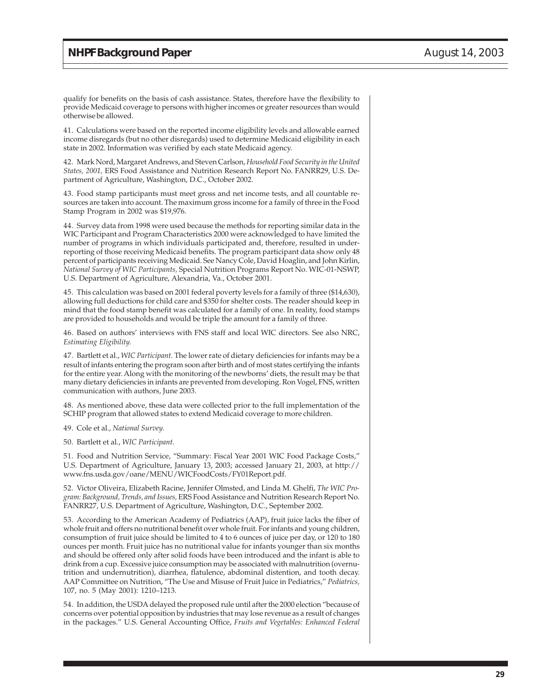qualify for benefits on the basis of cash assistance. States, therefore have the flexibility to provide Medicaid coverage to persons with higher incomes or greater resources than would otherwise be allowed.

41. Calculations were based on the reported income eligibility levels and allowable earned income disregards (but no other disregards) used to determine Medicaid eligibility in each state in 2002. Information was verified by each state Medicaid agency.

42. Mark Nord, Margaret Andrews, and Steven Carlson, *Household Food Security in the United States, 2001,* ERS Food Assistance and Nutrition Research Report No. FANRR29, U.S. Department of Agriculture, Washington, D.C., October 2002.

43. Food stamp participants must meet gross and net income tests, and all countable resources are taken into account. The maximum gross income for a family of three in the Food Stamp Program in 2002 was \$19,976.

44. Survey data from 1998 were used because the methods for reporting similar data in the WIC Participant and Program Characteristics 2000 were acknowledged to have limited the number of programs in which individuals participated and, therefore, resulted in underreporting of those receiving Medicaid benefits. The program participant data show only 48 percent of participants receiving Medicaid. See Nancy Cole, David Hoaglin, and John Kirlin, *National Survey of WIC Participants,* Special Nutrition Programs Report No. WIC-01-NSWP, U.S. Department of Agriculture, Alexandria, Va., October 2001.

45. This calculation was based on 2001 federal poverty levels for a family of three (\$14,630), allowing full deductions for child care and \$350 for shelter costs. The reader should keep in mind that the food stamp benefit was calculated for a family of one. In reality, food stamps are provided to households and would be triple the amount for a family of three.

46. Based on authors' interviews with FNS staff and local WIC directors. See also NRC, *Estimating Eligibility.*

47. Bartlett et al., *WIC Participant.* The lower rate of dietary deficiencies for infants may be a result of infants entering the program soon after birth and of most states certifying the infants for the entire year. Along with the monitoring of the newborns' diets, the result may be that many dietary deficiencies in infants are prevented from developing. Ron Vogel, FNS, written communication with authors, June 2003.

48. As mentioned above, these data were collected prior to the full implementation of the SCHIP program that allowed states to extend Medicaid coverage to more children.

49. Cole et al., *National Survey.*

50. Bartlett et al., *WIC Participant.*

51. Food and Nutrition Service, "Summary: Fiscal Year 2001 WIC Food Package Costs," U.S. Department of Agriculture, January 13, 2003; accessed January 21, 2003, at http:// www.fns.usda.gov/oane/MENU/WICFoodCosts/FY01Report.pdf.

52. Victor Oliveira, Elizabeth Racine, Jennifer Olmsted, and Linda M. Ghelfi, *The WIC Program: Background, Trends, and Issues,* ERS Food Assistance and Nutrition Research Report No. FANRR27, U.S. Department of Agriculture, Washington, D.C., September 2002.

53. According to the American Academy of Pediatrics (AAP), fruit juice lacks the fiber of whole fruit and offers no nutritional benefit over whole fruit. For infants and young children, consumption of fruit juice should be limited to 4 to 6 ounces of juice per day, or 120 to 180 ounces per month. Fruit juice has no nutritional value for infants younger than six months and should be offered only after solid foods have been introduced and the infant is able to drink from a cup. Excessive juice consumption may be associated with malnutrition (overnutrition and undernutrition), diarrhea, flatulence, abdominal distention, and tooth decay. AAP Committee on Nutrition, "The Use and Misuse of Fruit Juice in Pediatrics," *Pediatrics,* 107, no. 5 (May 2001): 1210–1213.

54. In addition, the USDA delayed the proposed rule until after the 2000 election "because of concerns over potential opposition by industries that may lose revenue as a result of changes in the packages." U.S. General Accounting Office, *Fruits and Vegetables: Enhanced Federal*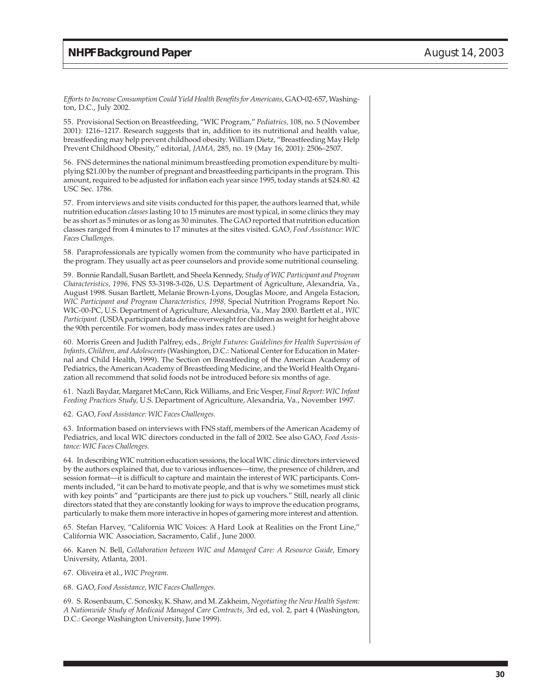*Efforts to Increase Consumption Could Yield Health Benefits for Americans,* GAO-02-657, Washington, D.C., July 2002.

55. Provisional Section on Breastfeeding, "WIC Program," *Pediatrics,* 108, no. 5 (November 2001): 1216–1217. Research suggests that in, addition to its nutritional and health value, breastfeeding may help prevent childhood obesity. William Dietz, "Breastfeeding May Help Prevent Childhood Obesity," editorial, *JAMA,* 285, no. 19 (May 16, 2001): 2506–2507.

56. FNS determines the national minimum breastfeeding promotion expenditure by multiplying \$21.00 by the number of pregnant and breastfeeding participants in the program. This amount, required to be adjusted for inflation each year since 1995, today stands at \$24.80. 42 USC Sec. 1786.

57. From interviews and site visits conducted for this paper, the authors learned that, while nutrition education *classes* lasting 10 to 15 minutes are most typical, in some clinics they may be as short as 5 minutes or as long as 30 minutes. The GAO reported that nutrition education classes ranged from 4 minutes to 17 minutes at the sites visited. GAO, *Food Assistance: WIC Faces Challenges.*

58. Paraprofessionals are typically women from the community who have participated in the program. They usually act as peer counselors and provide some nutritional counseling.

59. Bonnie Randall, Susan Bartlett, and Sheela Kennedy, *Study of WIC Participant and Program Characteristics, 1996,* FNS 53-3198-3-026, U.S. Department of Agriculture, Alexandria, Va., August 1998. Susan Bartlett, Melanie Brown-Lyons, Douglas Moore, and Angela Estacion, *WIC Participant and Program Characteristics, 1998,* Special Nutrition Programs Report No. WIC-00-PC, U.S. Department of Agriculture, Alexandria, Va., May 2000. Bartlett et al., *WIC Participant.* (USDA participant data define overweight for children as weight for height above the 90th percentile. For women, body mass index rates are used.)

60. Morris Green and Judith Palfrey, eds., *Bright Futures: Guidelines for Health Supervision of Infants, Children, and Adolescents* (Washington, D.C.: National Center for Education in Maternal and Child Health, 1999). The Section on Breastfeeding of the American Academy of Pediatrics, the American Academy of Breastfeeding Medicine, and the World Health Organization all recommend that solid foods not be introduced before six months of age.

61. Nazli Baydar, Margaret McCann, Rick Williams, and Eric Vesper, *Final Report: WIC Infant Feeding Practices Study,* U.S. Department of Agriculture, Alexandria, Va., November 1997.

62. GAO, *Food Assistance: WIC Faces Challenges.*

63. Information based on interviews with FNS staff, members of the American Academy of Pediatrics, and local WIC directors conducted in the fall of 2002. See also GAO, *Food Assistance: WIC Faces Challenges.*

64. In describing WIC nutrition education sessions, the local WIC clinic directors interviewed by the authors explained that, due to various influences—time, the presence of children, and session format—it is difficult to capture and maintain the interest of WIC participants. Comments included, "it can be hard to motivate people, and that is why we sometimes must stick with key points" and "participants are there just to pick up vouchers." Still, nearly all clinic directors stated that they are constantly looking for ways to improve the education programs, particularly to make them more interactive in hopes of garnering more interest and attention.

65. Stefan Harvey, "California WIC Voices: A Hard Look at Realities on the Front Line," California WIC Association, Sacramento, Calif., June 2000.

66. Karen N. Bell, *Collaboration between WIC and Managed Care: A Resource Guide*, Emory University, Atlanta, 2001.

67. Oliveira et al., *WIC Program.*

68. GAO, *Food Assistance, WIC Faces Challenges.*

69. S. Rosenbaum, C. Sonosky, K. Shaw, and M. Zakheim, *Negotiating the New Health System: A Nationwide Study of Medicaid Managed Care Contracts,* 3rd ed, vol. 2, part 4 (Washington, D.C.: George Washington University, June 1999).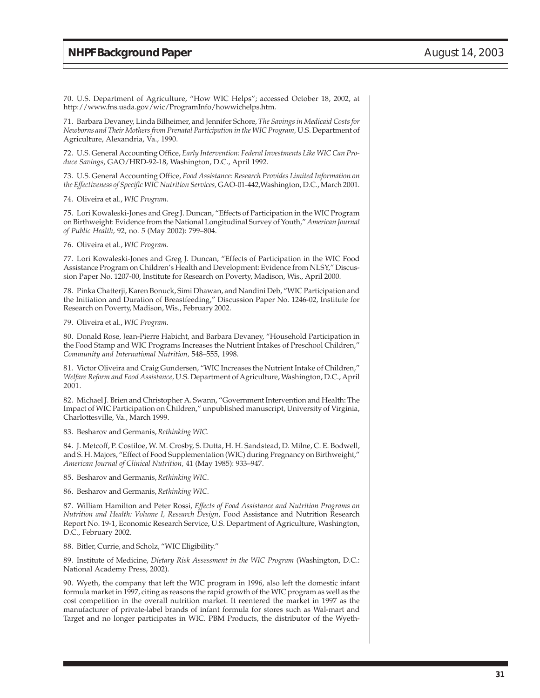70. U.S. Department of Agriculture, "How WIC Helps"; accessed October 18, 2002, at http://www.fns.usda.gov/wic/ProgramInfo/howwichelps.htm.

71. Barbara Devaney, Linda Bilheimer, and Jennifer Schore, *The Savings in Medicaid Costs for Newborns and Their Mothers from Prenatal Participation in the WIC Program,* U.S. Department of Agriculture, Alexandria, Va., 1990.

72. U.S. General Accounting Office, *Early Intervention: Federal Investments Like WIC Can Produce Savings*, GAO/HRD-92-18, Washington, D.C., April 1992.

73. U.S. General Accounting Office, *Food Assistance: Research Provides Limited Information on the Effectiveness of Specific WIC Nutrition Services,* GAO-01-442,Washington, D.C., March 2001.

74. Oliveira et al., *WIC Program.*

75. Lori Kowaleski-Jones and Greg J. Duncan, "Effects of Participation in the WIC Program on Birthweight: Evidence from the National Longitudinal Survey of Youth," *American Journal of Public Health,* 92, no. 5 (May 2002): 799–804.

76. Oliveira et al., *WIC Program.*

77. Lori Kowaleski-Jones and Greg J. Duncan, "Effects of Participation in the WIC Food Assistance Program on Children's Health and Development: Evidence from NLSY," Discussion Paper No. 1207-00, Institute for Research on Poverty, Madison, Wis., April 2000.

78. Pinka Chatterji, Karen Bonuck, Simi Dhawan, and Nandini Deb, "WIC Participation and the Initiation and Duration of Breastfeeding," Discussion Paper No. 1246-02, Institute for Research on Poverty, Madison, Wis., February 2002.

79. Oliveira et al., *WIC Program.*

80. Donald Rose, Jean-Pierre Habicht, and Barbara Devaney, "Household Participation in the Food Stamp and WIC Programs Increases the Nutrient Intakes of Preschool Children," *Community and International Nutrition,* 548–555, 1998.

81. Victor Oliveira and Craig Gundersen, "WIC Increases the Nutrient Intake of Children," *Welfare Reform and Food Assistance,* U.S. Department of Agriculture, Washington, D.C., April 2001.

82. Michael J. Brien and Christopher A. Swann, "Government Intervention and Health: The Impact of WIC Participation on Children," unpublished manuscript, University of Virginia, Charlottesville, Va., March 1999.

83. Besharov and Germanis, *Rethinking WIC.*

84. J. Metcoff, P. Costiloe, W. M. Crosby, S. Dutta, H. H. Sandstead, D. Milne, C. E. Bodwell, and S. H. Majors, "Effect of Food Supplementation (WIC) during Pregnancy on Birthweight," *American Journal of Clinical Nutrition,* 41 (May 1985): 933–947.

85. Besharov and Germanis, *Rethinking WIC*.

86. Besharov and Germanis, *Rethinking WIC*.

87. William Hamilton and Peter Rossi, *Effects of Food Assistance and Nutrition Programs on Nutrition and Health: Volume I, Research Design,* Food Assistance and Nutrition Research Report No. 19-1, Economic Research Service, U.S. Department of Agriculture, Washington, D.C., February 2002.

88. Bitler, Currie, and Scholz, "WIC Eligibility."

89. Institute of Medicine, *Dietary Risk Assessment in the WIC Program* (Washington, D.C.: National Academy Press, 2002).

90. Wyeth, the company that left the WIC program in 1996, also left the domestic infant formula market in 1997, citing as reasons the rapid growth of the WIC program as well as the cost competition in the overall nutrition market. It reentered the market in 1997 as the manufacturer of private-label brands of infant formula for stores such as Wal-mart and Target and no longer participates in WIC. PBM Products, the distributor of the Wyeth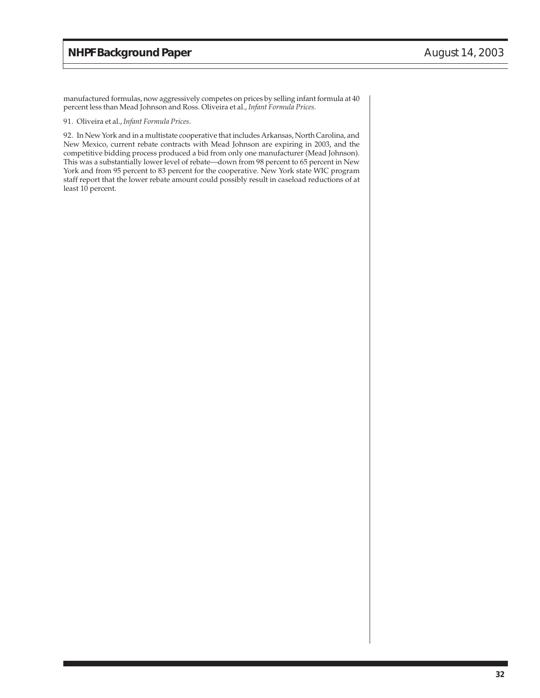manufactured formulas, now aggressively competes on prices by selling infant formula at 40 percent less than Mead Johnson and Ross. Oliveira et al., *Infant Formula Prices.*

#### 91. Oliveira et al., *Infant Formula Prices*.

92. In New York and in a multistate cooperative that includes Arkansas, North Carolina, and New Mexico, current rebate contracts with Mead Johnson are expiring in 2003, and the competitive bidding process produced a bid from only one manufacturer (Mead Johnson). This was a substantially lower level of rebate—down from 98 percent to 65 percent in New York and from 95 percent to 83 percent for the cooperative. New York state WIC program staff report that the lower rebate amount could possibly result in caseload reductions of at least 10 percent.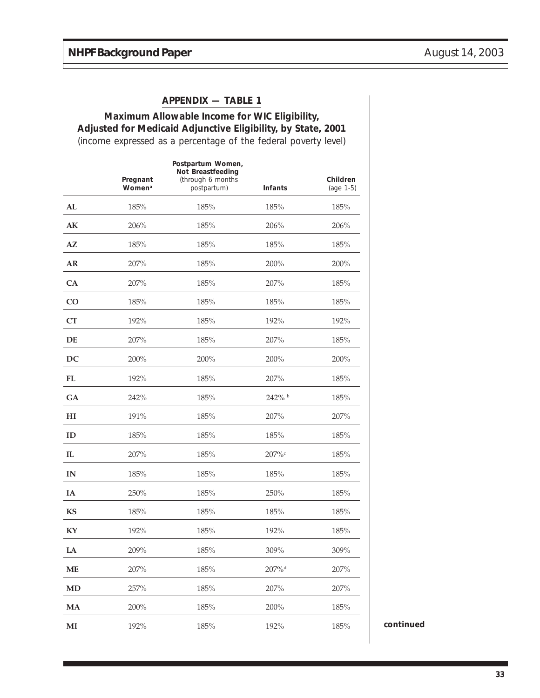#### **APPENDIX — TABLE 1**

# **Maximum Allowable Income for WIC Eligibility, Adjusted for Medicaid Adjunctive Eligibility, by State, 2001**

(income expressed as a percentage of the federal poverty level)

|                | Pregnant<br>Women <sup>a</sup> | Postpartum Women,<br>Not Breastfeeding<br>(through 6 months<br>postpartum) | Infants              | Children<br>(age 1-5) |           |
|----------------|--------------------------------|----------------------------------------------------------------------------|----------------------|-----------------------|-----------|
| ${\bf AL}$     | 185%                           | 185%                                                                       | 185%                 | 185%                  |           |
| $\mathbf{AK}$  | 206%                           | 185%                                                                       | 206%                 | 206%                  |           |
| A Z            | $185\%$                        | $185\%$                                                                    | 185%                 | 185%                  |           |
| ${\bf AR}$     | 207%                           | 185%                                                                       | 200%                 | 200%                  |           |
| CA             | 207%                           | 185%                                                                       | 207%                 | 185%                  |           |
| CO             | 185%                           | 185%                                                                       | 185%                 | 185%                  |           |
| CT             | 192%                           | 185%                                                                       | 192%                 | 192%                  |           |
| DE             | 207%                           | $185\%$                                                                    | 207%                 | 185%                  |           |
| DC             | 200%                           | 200%                                                                       | 200%                 | 200%                  |           |
| <b>FL</b>      | 192%                           | 185%                                                                       | 207%                 | 185%                  |           |
| GA             | 242%                           | 185%                                                                       | 242% b               | 185%                  |           |
| H <sub>I</sub> | 191%                           | 185%                                                                       | 207%                 | 207%                  |           |
| ID             | 185%                           | 185%                                                                       | 185%                 | 185%                  |           |
| IL             | 207%                           | $185\%$                                                                    | $207\%$              | 185%                  |           |
| $\mathbf{IN}$  | 185%                           | 185%                                                                       | 185%                 | 185%                  |           |
| IA             | 250%                           | 185%                                                                       | 250%                 | 185%                  |           |
| KS             | 185%                           | 185%                                                                       | 185%                 | $185\%$               |           |
| KY             | 192%                           | 185%                                                                       | 192%                 | 185%                  |           |
| LA             | 209%                           | 185%                                                                       | 309%                 | 309%                  |           |
| <b>ME</b>      | 207%                           | 185%                                                                       | $207\%$ <sup>d</sup> | 207%                  |           |
| <b>MD</b>      | 257%                           | 185%                                                                       | 207%                 | 207%                  |           |
| MA             | 200%                           | 185%                                                                       | 200%                 | 185%                  |           |
| $\bf MI$       | 192%                           | 185%                                                                       | 192%                 | 185%                  | continued |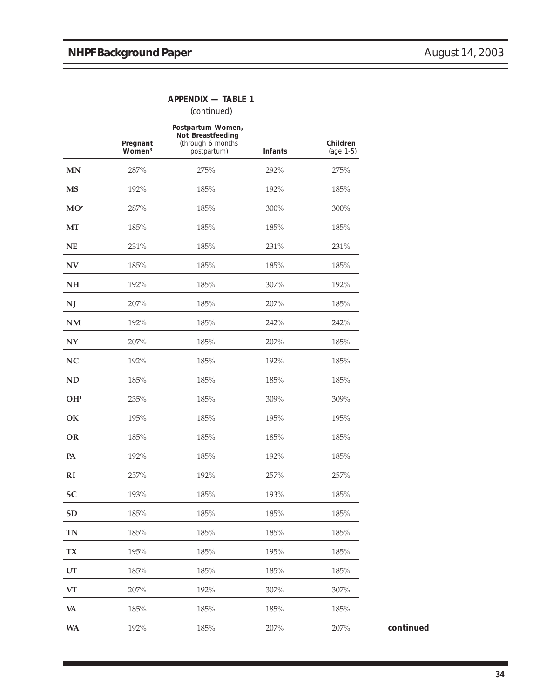|                 |                                | <b>APPENDIX - TABLE 1</b>                             |                |                       |  |
|-----------------|--------------------------------|-------------------------------------------------------|----------------|-----------------------|--|
|                 |                                | (continued)                                           |                |                       |  |
|                 |                                | Postpartum Women,                                     |                |                       |  |
|                 | Pregnant<br>Women <sup>3</sup> | Not Breastfeeding<br>(through 6 months<br>postpartum) | <b>Infants</b> | Children<br>(age 1-5) |  |
| MN              | 287%                           | 275%                                                  | 292%           | 275%                  |  |
| <b>MS</b>       | 192%                           | 185%                                                  | 192%           | 185%                  |  |
| $MO^e$          | 287%                           | 185%                                                  | 300%           | 300%                  |  |
| <b>MT</b>       | 185%                           | 185%                                                  | 185%           | 185%                  |  |
| <b>NE</b>       | 231%                           | 185%                                                  | 231%           | 231%                  |  |
| <b>NV</b>       | 185%                           | 185%                                                  | 185%           | 185%                  |  |
| <b>NH</b>       | 192%                           | 185%                                                  | 307%           | 192%                  |  |
| NJ              | 207%                           | 185%                                                  | 207%           | 185%                  |  |
| NM              | 192%                           | 185%                                                  | 242%           | 242%                  |  |
| NY              | 207%                           | 185%                                                  | 207%           | 185%                  |  |
| NC              | 192%                           | 185%                                                  | 192%           | 185%                  |  |
| <b>ND</b>       | 185%                           | 185%                                                  | 185%           | 185%                  |  |
| OH <sup>f</sup> | 235%                           | 185%                                                  | 309%           | 309%                  |  |
| OK              | 195%                           | 185%                                                  | 195%           | 195%                  |  |
| OR              | 185%                           | 185%                                                  | 185%           | 185%                  |  |
| PA              | 192%                           | 185%                                                  | 192%           | 185%                  |  |
| RI              | 257%                           | 192%                                                  | 257%           | 257%                  |  |
| <b>SC</b>       | 193%                           | 185%                                                  | 193%           | 185%                  |  |
| <b>SD</b>       | 185%                           | 185%                                                  | 185%           | 185%                  |  |
| <b>TN</b>       | 185%                           | 185%                                                  | 185%           | 185%                  |  |
| <b>TX</b>       | 195%                           | 185%                                                  | 195%           | 185%                  |  |
| UT              | 185%                           | 185%                                                  | 185%           | 185%                  |  |
| <b>VT</b>       | 207%                           | 192%                                                  | 307%           | 307%                  |  |
| VA              | 185%                           | 185%                                                  | 185%           | 185%                  |  |
| <b>WA</b>       | 192%                           | 185%                                                  | 207%           | 207%                  |  |

continued